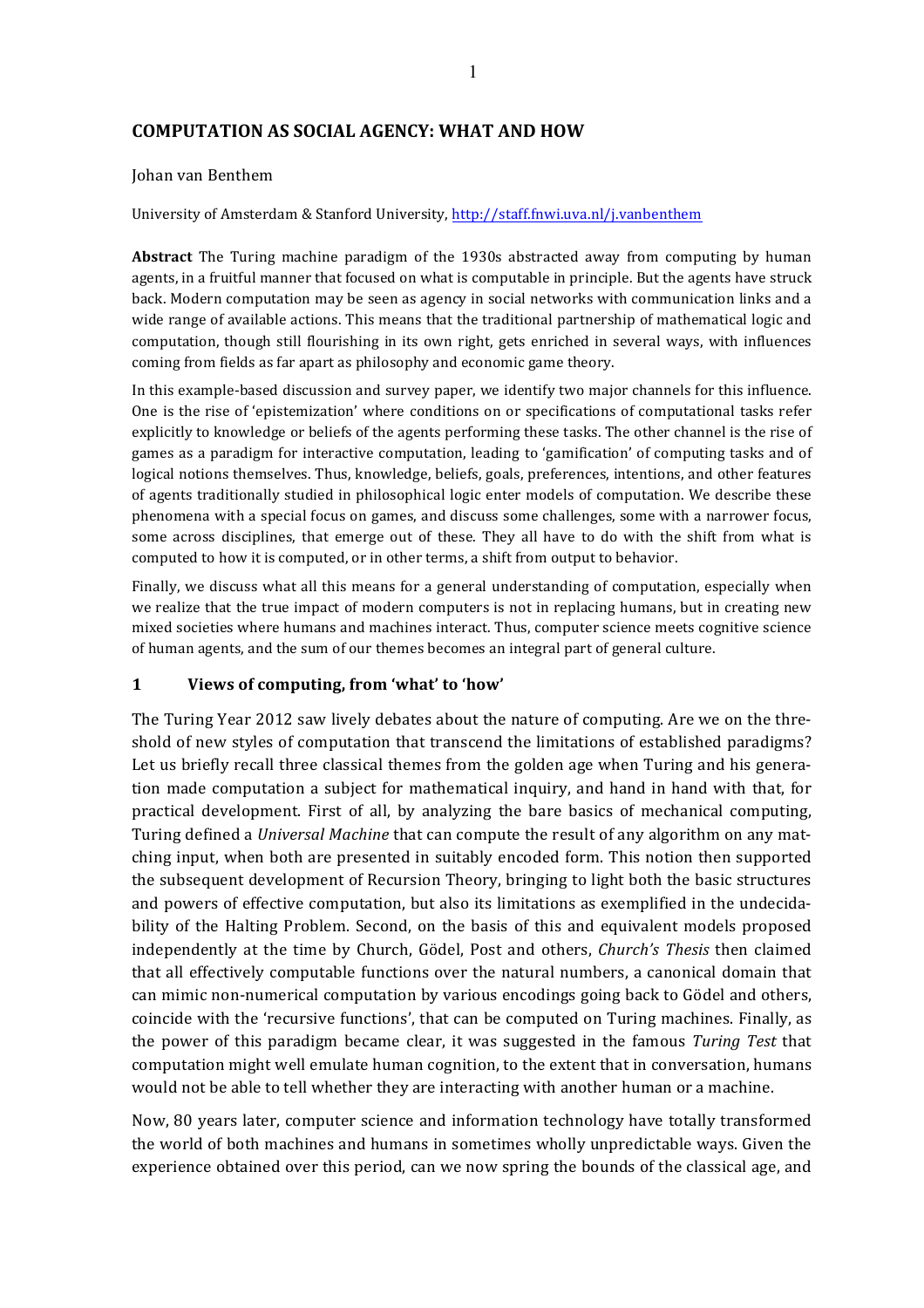# **COMPUTATION AS SOCIAL AGENCY: WHAT AND HOW**

#### Johan van Benthem

University of Amsterdam & Stanford University, http://staff.fnwi.uva.nl/j.vanbenthem

**Abstract** The Turing machine paradigm of the 1930s abstracted away from computing by human agents, in a fruitful manner that focused on what is computable in principle. But the agents have struck back. Modern computation may be seen as agency in social networks with communication links and a wide range of available actions. This means that the traditional partnership of mathematical logic and computation, though still flourishing in its own right, gets enriched in several ways, with influences coming from fields as far apart as philosophy and economic game theory.

In this example-based discussion and survey paper, we identify two major channels for this influence. One is the rise of 'epistemization' where conditions on or specifications of computational tasks refer explicitly to knowledge or beliefs of the agents performing these tasks. The other channel is the rise of games as a paradigm for interactive computation, leading to 'gamification' of computing tasks and of logical notions themselves. Thus, knowledge, beliefs, goals, preferences, intentions, and other features of agents traditionally studied in philosophical logic enter models of computation. We describe these phenomena with a special focus on games, and discuss some challenges, some with a narrower focus, some across disciplines, that emerge out of these. They all have to do with the shift from what is computed to how it is computed, or in other terms, a shift from output to behavior.

Finally, we discuss what all this means for a general understanding of computation, especially when we realize that the true impact of modern computers is not in replacing humans, but in creating new mixed societies where humans and machines interact. Thus, computer science meets cognitive science of human agents, and the sum of our themes becomes an integral part of general culture.

#### **1 Views of computing, from 'what' to 'how'**

The Turing Year 2012 saw lively debates about the nature of computing. Are we on the threshold of new styles of computation that transcend the limitations of established paradigms? Let us briefly recall three classical themes from the golden age when Turing and his generation made computation a subject for mathematical inquiry, and hand in hand with that, for practical development. First of all, by analyzing the bare basics of mechanical computing, Turing defined a *Universal Machine* that can compute the result of any algorithm on any matching input, when both are presented in suitably encoded form. This notion then supported the subsequent development of Recursion Theory, bringing to light both the basic structures and powers of effective computation, but also its limitations as exemplified in the undecidability of the Halting Problem. Second, on the basis of this and equivalent models proposed independently at the time by Church, Gödel, Post and others, *Church's Thesis* then claimed that all effectively computable functions over the natural numbers, a canonical domain that can mimic non-numerical computation by various encodings going back to Gödel and others, coincide with the 'recursive functions', that can be computed on Turing machines. Finally, as the power of this paradigm became clear, it was suggested in the famous *Turing Test* that computation might well emulate human cognition, to the extent that in conversation, humans would not be able to tell whether they are interacting with another human or a machine.

Now, 80 years later, computer science and information technology have totally transformed the world of both machines and humans in sometimes wholly unpredictable ways. Given the experience obtained over this period, can we now spring the bounds of the classical age, and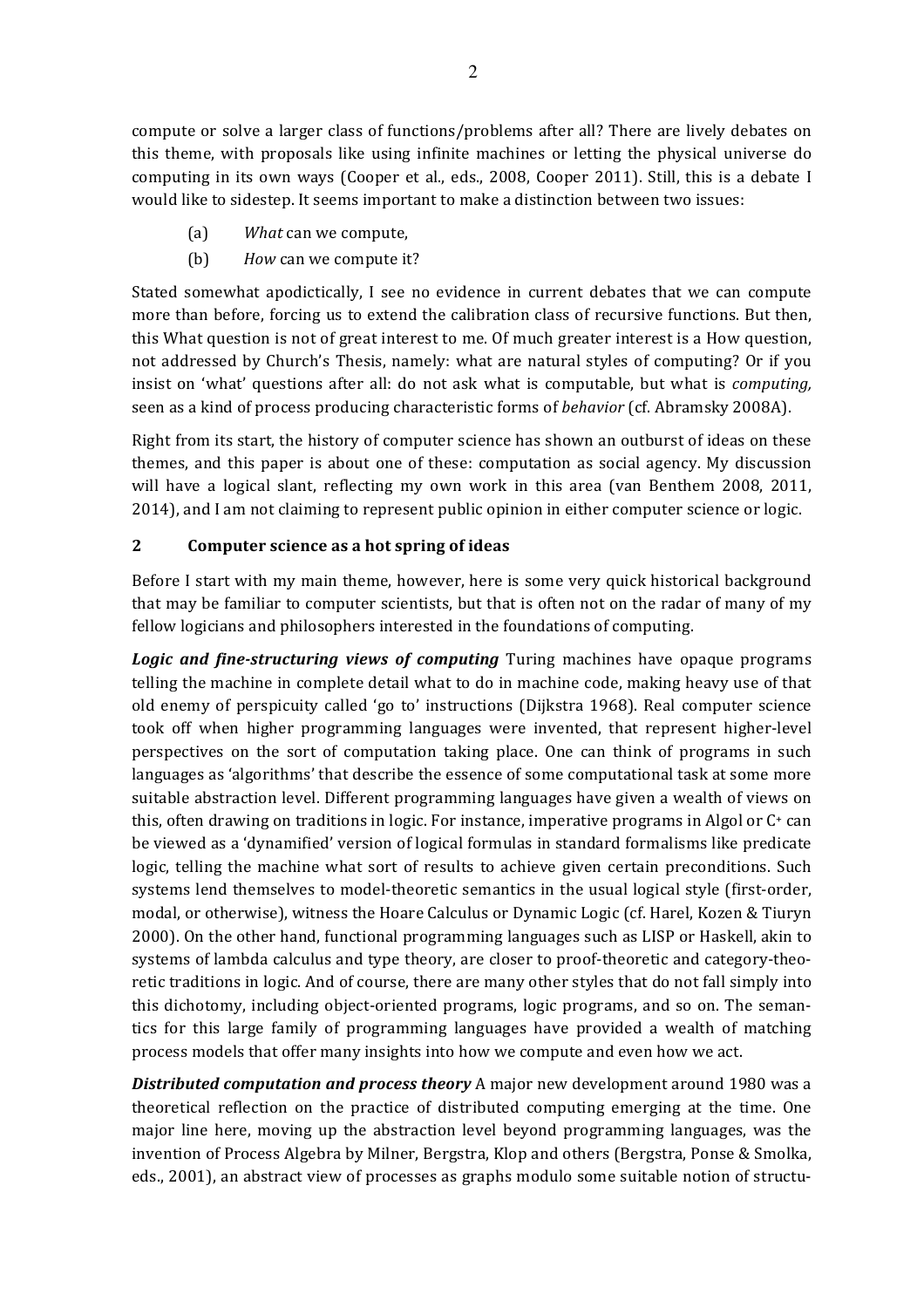compute or solve a larger class of functions/problems after all? There are lively debates on this theme, with proposals like using infinite machines or letting the physical universe do computing in its own ways (Cooper et al., eds., 2008, Cooper 2011). Still, this is a debate I would like to sidestep. It seems important to make a distinction between two issues:

- (a) *What* can we compute,
- (b) *How* can we compute it?

Stated somewhat apodictically, I see no evidence in current debates that we can compute more than before, forcing us to extend the calibration class of recursive functions. But then, this What question is not of great interest to me. Of much greater interest is a How question, not addressed by Church's Thesis, namely: what are natural styles of computing? Or if you insist on 'what' questions after all: do not ask what is computable, but what is *computing*, seen as a kind of process producing characteristic forms of *behavior* (cf. Abramsky 2008A).

Right from its start, the history of computer science has shown an outburst of ideas on these themes, and this paper is about one of these: computation as social agency. My discussion will have a logical slant, reflecting my own work in this area (van Benthem 2008, 2011, 2014), and I am not claiming to represent public opinion in either computer science or logic.

## **2 Computer science as a hot spring of ideas**

Before I start with my main theme, however, here is some very quick historical background that may be familiar to computer scientists, but that is often not on the radar of many of my fellow logicians and philosophers interested in the foundations of computing.

**Logic** and fine-structuring views of computing Turing machines have opaque programs telling the machine in complete detail what to do in machine code, making heavy use of that old enemy of perspicuity called 'go to' instructions (Dijkstra 1968). Real computer science took off when higher programming languages were invented, that represent higher-level perspectives on the sort of computation taking place. One can think of programs in such languages as 'algorithms' that describe the essence of some computational task at some more suitable abstraction level. Different programming languages have given a wealth of views on this, often drawing on traditions in logic. For instance, imperative programs in Algol or  $C^+$  can be viewed as a 'dynamified' version of logical formulas in standard formalisms like predicate logic, telling the machine what sort of results to achieve given certain preconditions. Such systems lend themselves to model-theoretic semantics in the usual logical style (first-order, modal, or otherwise), witness the Hoare Calculus or Dynamic Logic (cf. Harel, Kozen & Tiuryn 2000). On the other hand, functional programming languages such as LISP or Haskell, akin to systems of lambda calculus and type theory, are closer to proof-theoretic and category-theoretic traditions in logic. And of course, there are many other styles that do not fall simply into this dichotomy, including object-oriented programs, logic programs, and so on. The semantics for this large family of programming languages have provided a wealth of matching process models that offer many insights into how we compute and even how we act.

**Distributed computation and process theory** A major new development around 1980 was a theoretical reflection on the practice of distributed computing emerging at the time. One major line here, moving up the abstraction level beyond programming languages, was the invention of Process Algebra by Milner, Bergstra, Klop and others (Bergstra, Ponse & Smolka, eds., 2001), an abstract view of processes as graphs modulo some suitable notion of structu-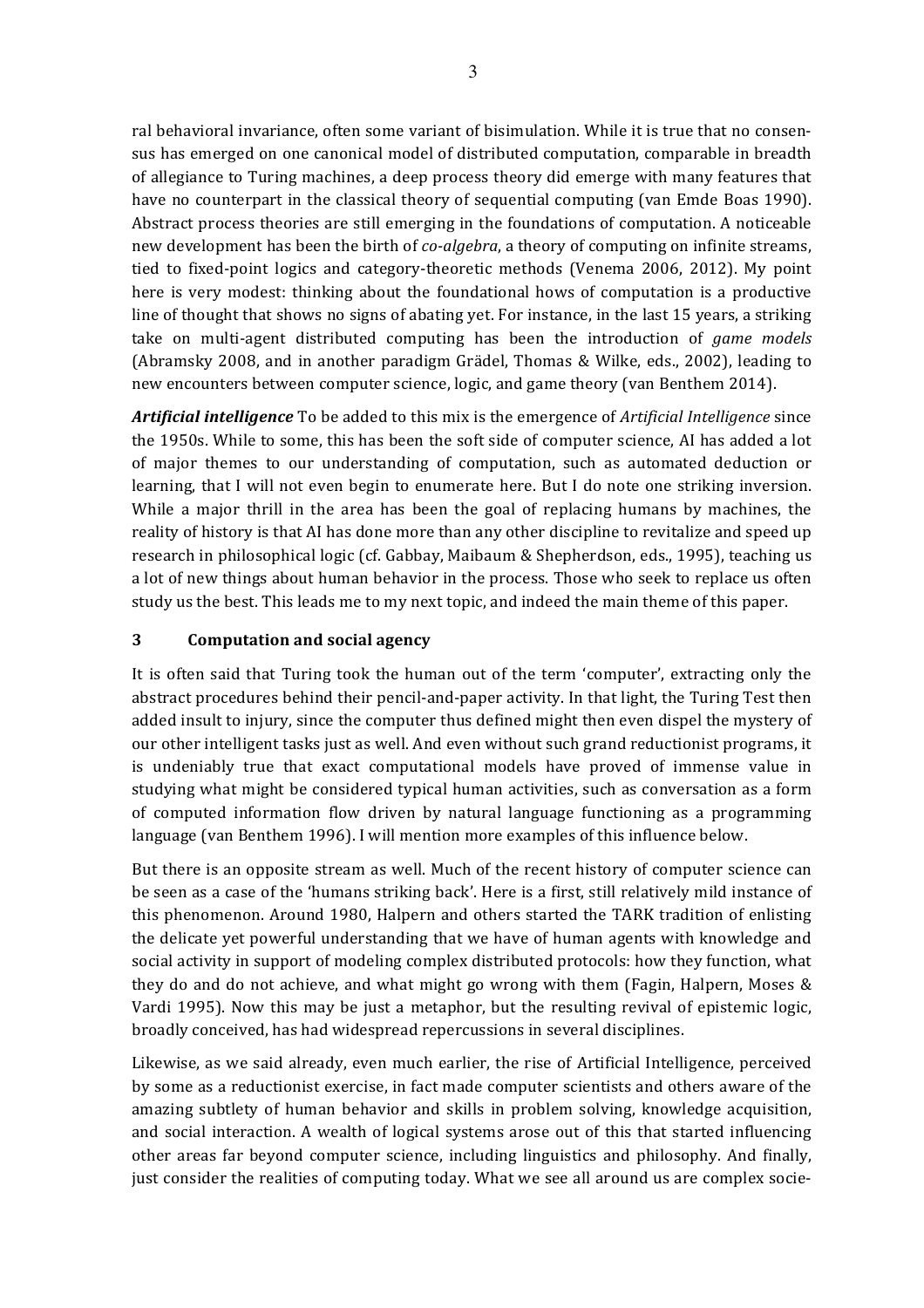ral behavioral invariance, often some variant of bisimulation. While it is true that no consensus has emerged on one canonical model of distributed computation, comparable in breadth of allegiance to Turing machines, a deep process theory did emerge with many features that have no counterpart in the classical theory of sequential computing (van Emde Boas 1990). Abstract process theories are still emerging in the foundations of computation. A noticeable new development has been the birth of *co-algebra*, a theory of computing on infinite streams, tied to fixed-point logics and category-theoretic methods (Venema 2006, 2012). My point here is very modest: thinking about the foundational hows of computation is a productive line of thought that shows no signs of abating yet. For instance, in the last 15 years, a striking take on multi-agent distributed computing has been the introduction of *game models* (Abramsky 2008, and in another paradigm Grädel, Thomas & Wilke, eds., 2002), leading to new encounters between computer science, logic, and game theory (van Benthem 2014).

*Artificial intelligence* To be added to this mix is the emergence of *Artificial Intelligence* since the 1950s. While to some, this has been the soft side of computer science, AI has added a lot of major themes to our understanding of computation, such as automated deduction or learning, that I will not even begin to enumerate here. But I do note one striking inversion. While a major thrill in the area has been the goal of replacing humans by machines, the reality of history is that AI has done more than any other discipline to revitalize and speed up research in philosophical logic (cf. Gabbay, Maibaum & Shepherdson, eds., 1995), teaching us a lot of new things about human behavior in the process. Those who seek to replace us often study us the best. This leads me to my next topic, and indeed the main theme of this paper.

#### **3 Computation and social agency**

It is often said that Turing took the human out of the term 'computer', extracting only the abstract procedures behind their pencil-and-paper activity. In that light, the Turing Test then added insult to injury, since the computer thus defined might then even dispel the mystery of our other intelligent tasks just as well. And even without such grand reductionist programs, it is undeniably true that exact computational models have proved of immense value in studying what might be considered typical human activities, such as conversation as a form of computed information flow driven by natural language functioning as a programming language (van Benthem 1996). I will mention more examples of this influence below.

But there is an opposite stream as well. Much of the recent history of computer science can be seen as a case of the 'humans striking back'. Here is a first, still relatively mild instance of this phenomenon. Around 1980, Halpern and others started the TARK tradition of enlisting the delicate yet powerful understanding that we have of human agents with knowledge and social activity in support of modeling complex distributed protocols: how they function, what they do and do not achieve, and what might go wrong with them (Fagin, Halpern, Moses  $\&$ Vardi 1995). Now this may be just a metaphor, but the resulting revival of epistemic logic, broadly conceived, has had widespread repercussions in several disciplines.

Likewise, as we said already, even much earlier, the rise of Artificial Intelligence, perceived by some as a reductionist exercise, in fact made computer scientists and others aware of the amazing subtlety of human behavior and skills in problem solving, knowledge acquisition, and social interaction. A wealth of logical systems arose out of this that started influencing other areas far beyond computer science, including linguistics and philosophy. And finally, just consider the realities of computing today. What we see all around us are complex socie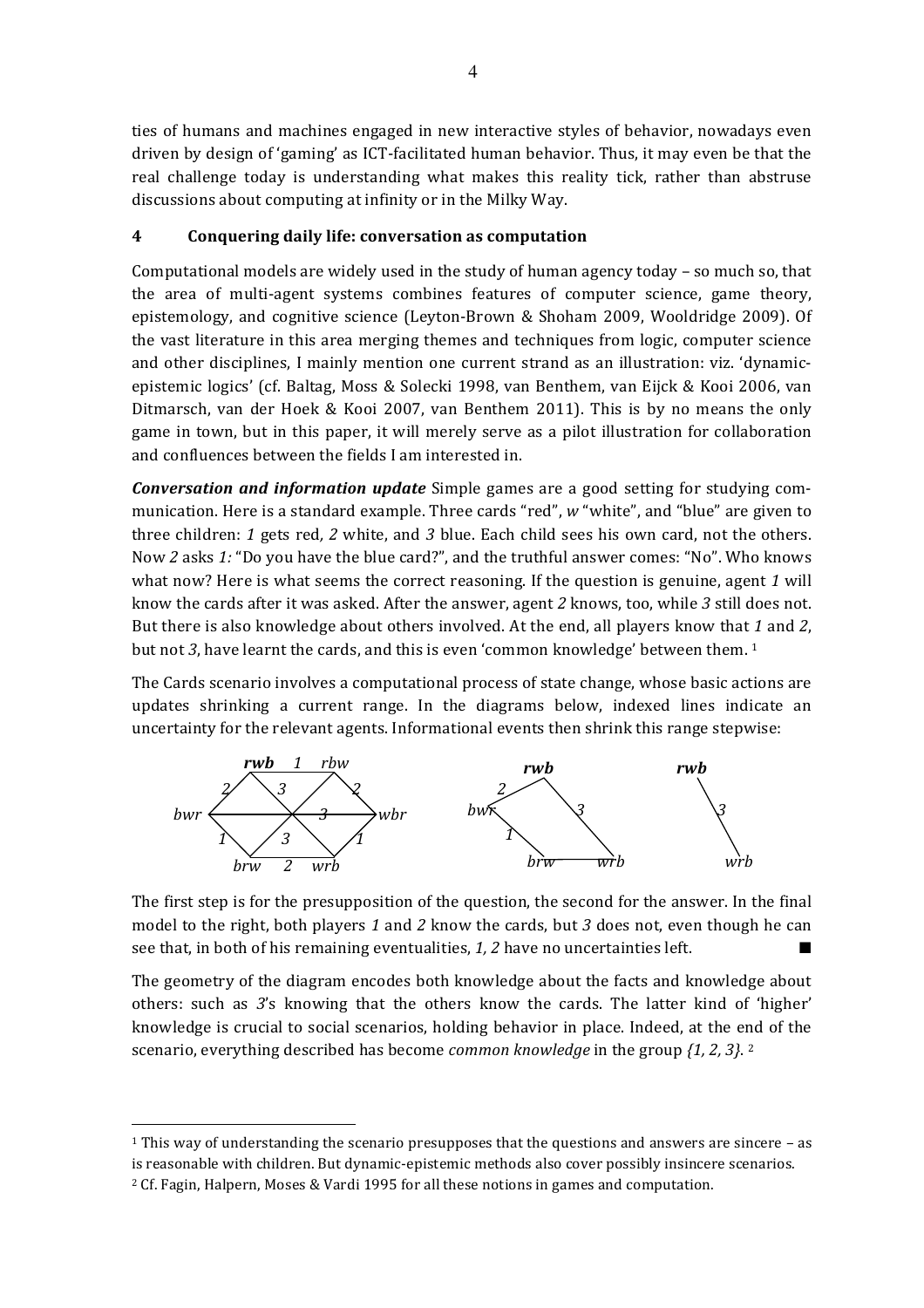ties of humans and machines engaged in new interactive styles of behavior, nowadays even driven by design of 'gaming' as ICT-facilitated human behavior. Thus, it may even be that the real challenge today is understanding what makes this reality tick, rather than abstruse discussions about computing at infinity or in the Milky Way.

### **4 Conquering daily life: conversation as computation**

Computational models are widely used in the study of human agency today – so much so, that the area of multi-agent systems combines features of computer science, game theory, epistemology, and cognitive science (Leyton-Brown & Shoham 2009, Wooldridge 2009). Of the vast literature in this area merging themes and techniques from logic, computer science and other disciplines, I mainly mention one current strand as an illustration: viz. 'dynamicepistemic logics' (cf. Baltag, Moss & Solecki 1998, van Benthem, van Eijck & Kooi 2006, van Ditmarsch, van der Hoek & Kooi 2007, van Benthem 2011). This is by no means the only game in town, but in this paper, it will merely serve as a pilot illustration for collaboration and confluences between the fields I am interested in.

*Conversation and information update* Simple games are a good setting for studying communication. Here is a standard example. Three cards "red", w "white", and "blue" are given to three children: 1 gets red, 2 white, and 3 blue. Each child sees his own card, not the others. Now 2 asks 1: "Do you have the blue card?", and the truthful answer comes: "No". Who knows what now? Here is what seems the correct reasoning. If the question is genuine, agent 1 will know the cards after it was asked. After the answer, agent 2 knows, too, while 3 still does not. But there is also knowledge about others involved. At the end, all players know that 1 and 2, but not 3, have learnt the cards, and this is even 'common knowledge' between them. <sup>1</sup>

The Cards scenario involves a computational process of state change, whose basic actions are updates shrinking a current range. In the diagrams below, indexed lines indicate an uncertainty for the relevant agents. Informational events then shrink this range stepwise:



The first step is for the presupposition of the question, the second for the answer. In the final model to the right, both players 1 and 2 know the cards, but 3 does not, even though he can see that, in both of his remaining eventualities, 1, 2 have no uncertainties left.

The geometry of the diagram encodes both knowledge about the facts and knowledge about others: such as 3's knowing that the others know the cards. The latter kind of 'higher' knowledge is crucial to social scenarios, holding behavior in place. Indeed, at the end of the scenario, everything described has become *common knowledge* in the group  $\{1, 2, 3\}$ .

<sup>&</sup>lt;sup>1</sup> This way of understanding the scenario presupposes that the questions and answers are sincere – as is reasonable with children. But dynamic-epistemic methods also cover possibly insincere scenarios.  $2$  Cf. Fagin, Halpern, Moses & Vardi 1995 for all these notions in games and computation.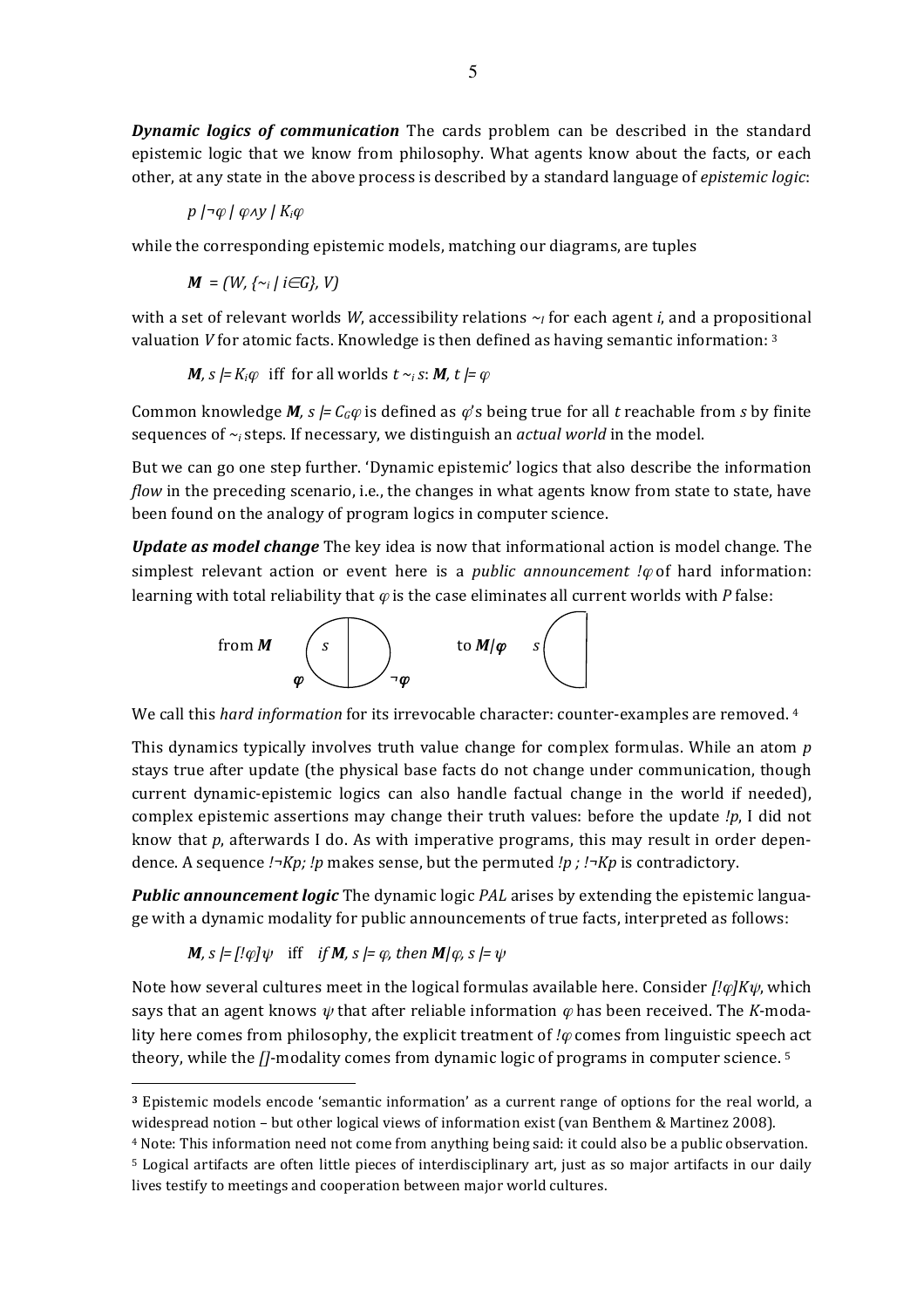**Dynamic logics of communication** The cards problem can be described in the standard epistemic logic that we know from philosophy. What agents know about the facts, or each other, at any state in the above process is described by a standard language of *epistemic logic*:

*p* | *γ | φ N | K<sub>i</sub>* $\varphi$ 

while the corresponding epistemic models, matching our diagrams, are tuples

 $M = (W, \{ \sim_i \mid i \in G \}, V)$ 

with a set of relevant worlds *W*, accessibility relations  $\sim$  for each agent *i*, and a propositional valuation *V* for atomic facts. Knowledge is then defined as having semantic information: <sup>3</sup>

*M, s*  $|=K_i\varphi$  iff for all worlds  $t \sim_i s$ : *M,*  $t \models \varphi$ 

Common knowledge *M*,  $s \models C_G \varphi$  is defined as  $\varphi$ 's being true for all *t* reachable from *s* by finite sequences of  $\sim$  *i* steps. If necessary, we distinguish an *actual world* in the model.

But we can go one step further. 'Dynamic epistemic' logics that also describe the information *flow* in the preceding scenario, i.e., the changes in what agents know from state to state, have been found on the analogy of program logics in computer science.

*Update as model change* The key idea is now that informational action is model change. The simplest relevant action or event here is a *public announcement !* $\varphi$  of hard information: learning with total reliability that  $\varphi$  is the case eliminates all current worlds with *P* false:



We call this *hard information* for its irrevocable character: counter-examples are removed. <sup>4</sup>

This dynamics typically involves truth value change for complex formulas. While an atom p stays true after update (the physical base facts do not change under communication, though current dynamic-epistemic logics can also handle factual change in the world if needed), complex epistemic assertions may change their truth values: before the update *!p*, I did not know that  $p$ , afterwards I do. As with imperative programs, this may result in order dependence. A sequence *!¬Kp; !p* makes sense, but the permuted *!p ; !¬Kp* is contradictory.

**Public announcement logic** The dynamic logic *PAL* arises by extending the epistemic language with a dynamic modality for public announcements of true facts, interpreted as follows:

**M**, 
$$
s = [! \varphi] \psi
$$
 iff *if* **M**,  $s = \varphi$ , then **M** $|\varphi$ ,  $s = \psi$ 

 $\overline{a}$ 

Note how several cultures meet in the logical formulas available here. Consider  $\int$ ! $\varphi$ *]K* $\psi$ , which says that an agent knows  $\psi$  that after reliable information  $\varphi$  has been received. The *K*-modality here comes from philosophy, the explicit treatment of  $\ell\varphi$  comes from linguistic speech act theory, while the *[]*-modality comes from dynamic logic of programs in computer science. <sup>5</sup>

<sup>&</sup>lt;sup>3</sup> Epistemic models encode 'semantic information' as a current range of options for the real world, a widespread notion - but other logical views of information exist (van Benthem & Martinez 2008).

<sup>&</sup>lt;sup>4</sup> Note: This information need not come from anything being said: it could also be a public observation. <sup>5</sup> Logical artifacts are often little pieces of interdisciplinary art, just as so major artifacts in our daily lives testify to meetings and cooperation between major world cultures.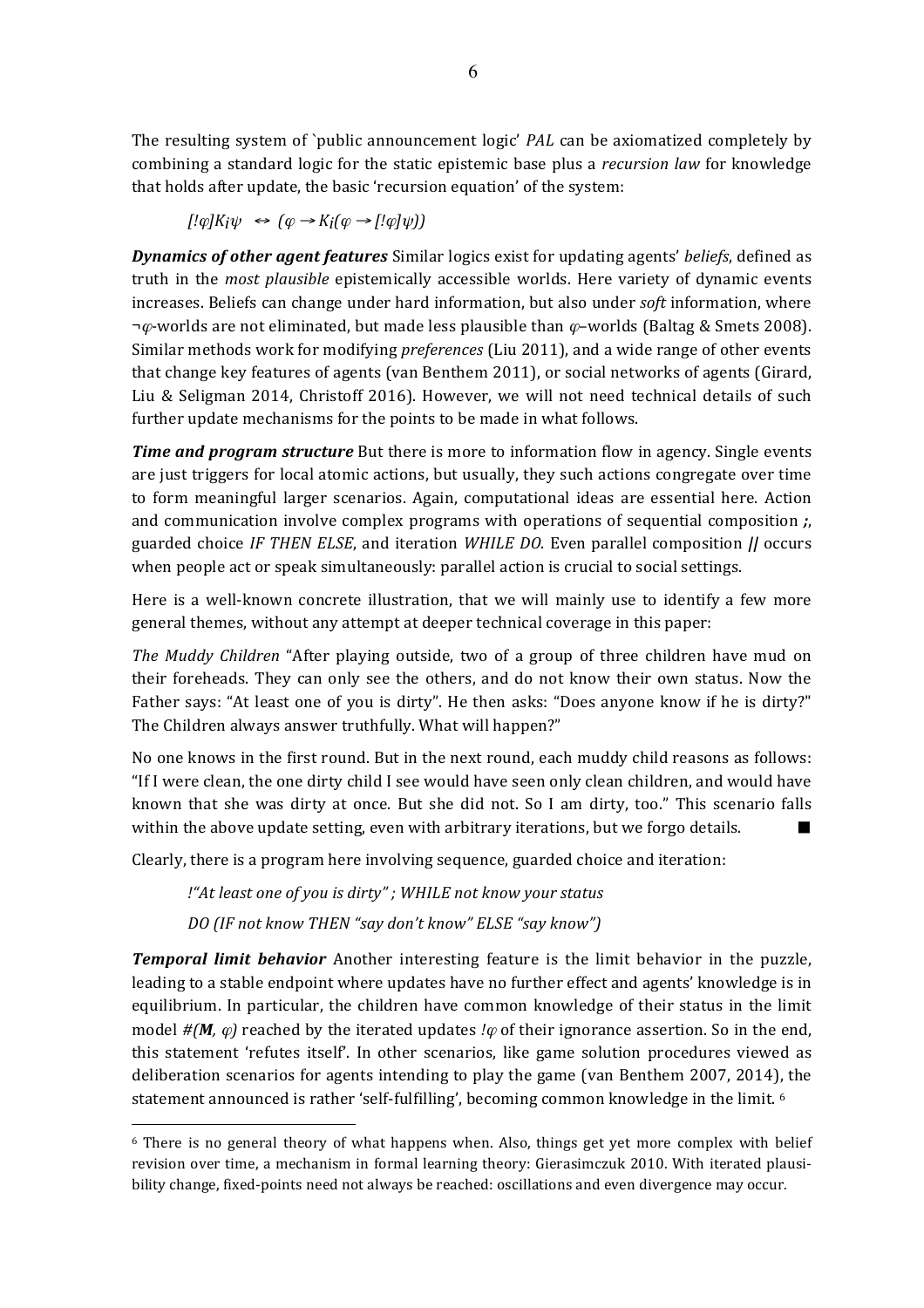The resulting system of `public announcement logic' *PAL* can be axiomatized completely by combining a standard logic for the static epistemic base plus a *recursion law* for knowledge that holds after update, the basic 'recursion equation' of the system:

$$
[!\varphi]K_i\psi \iff (\varphi \to K_i(\varphi \to [!\varphi]\psi))
$$

**Dynamics of other agent features** Similar logics exist for updating agents' *beliefs*, defined as truth in the *most plausible* epistemically accessible worlds. Here variety of dynamic events increases. Beliefs can change under hard information, but also under *soft* information, where  $\neg \varphi$ -worlds are not eliminated, but made less plausible than  $\varphi$ -worlds (Baltag & Smets 2008). Similar methods work for modifying *preferences* (Liu 2011), and a wide range of other events that change key features of agents (van Benthem 2011), or social networks of agents (Girard, Liu & Seligman 2014, Christoff 2016). However, we will not need technical details of such further update mechanisms for the points to be made in what follows.

*Time and program structure* But there is more to information flow in agency. Single events are just triggers for local atomic actions, but usually, they such actions congregate over time to form meaningful larger scenarios. Again, computational ideas are essential here. Action and communication involve complex programs with operations of sequential composition *;*, guarded choice *IF THEN ELSE*, and iteration *WHILE DO*. Even parallel composition *||* occurs when people act or speak simultaneously: parallel action is crucial to social settings.

Here is a well-known concrete illustration, that we will mainly use to identify a few more general themes, without any attempt at deeper technical coverage in this paper:

*The Muddy Children* "After playing outside, two of a group of three children have mud on their foreheads. They can only see the others, and do not know their own status. Now the Father says: "At least one of you is dirty". He then asks: "Does anyone know if he is dirty?" The Children always answer truthfully. What will happen?"

No one knows in the first round. But in the next round, each muddy child reasons as follows: "If I were clean, the one dirty child I see would have seen only clean children, and would have known that she was dirty at once. But she did not. So I am dirty, too." This scenario falls within the above update setting, even with arbitrary iterations, but we forgo details.

Clearly, there is a program here involving sequence, guarded choice and iteration:

*!"At least one of you is dirty"*; WHILE not know your status

*DO* (IF not know THEN "say don't know" ELSE "say know")

 $\overline{a}$ 

**Temporal limit behavior** Another interesting feature is the limit behavior in the puzzle, leading to a stable endpoint where updates have no further effect and agents' knowledge is in equilibrium. In particular, the children have common knowledge of their status in the limit model  $\#(M, \varphi)$  reached by the iterated updates *!* $\varphi$  of their ignorance assertion. So in the end, this statement 'refutes itself'. In other scenarios, like game solution procedures viewed as deliberation scenarios for agents intending to play the game (van Benthem 2007, 2014), the statement announced is rather 'self-fulfilling', becoming common knowledge in the limit.  $6$ 

 $6$  There is no general theory of what happens when. Also, things get yet more complex with belief revision over time, a mechanism in formal learning theory: Gierasimczuk 2010. With iterated plausibility change, fixed-points need not always be reached: oscillations and even divergence may occur.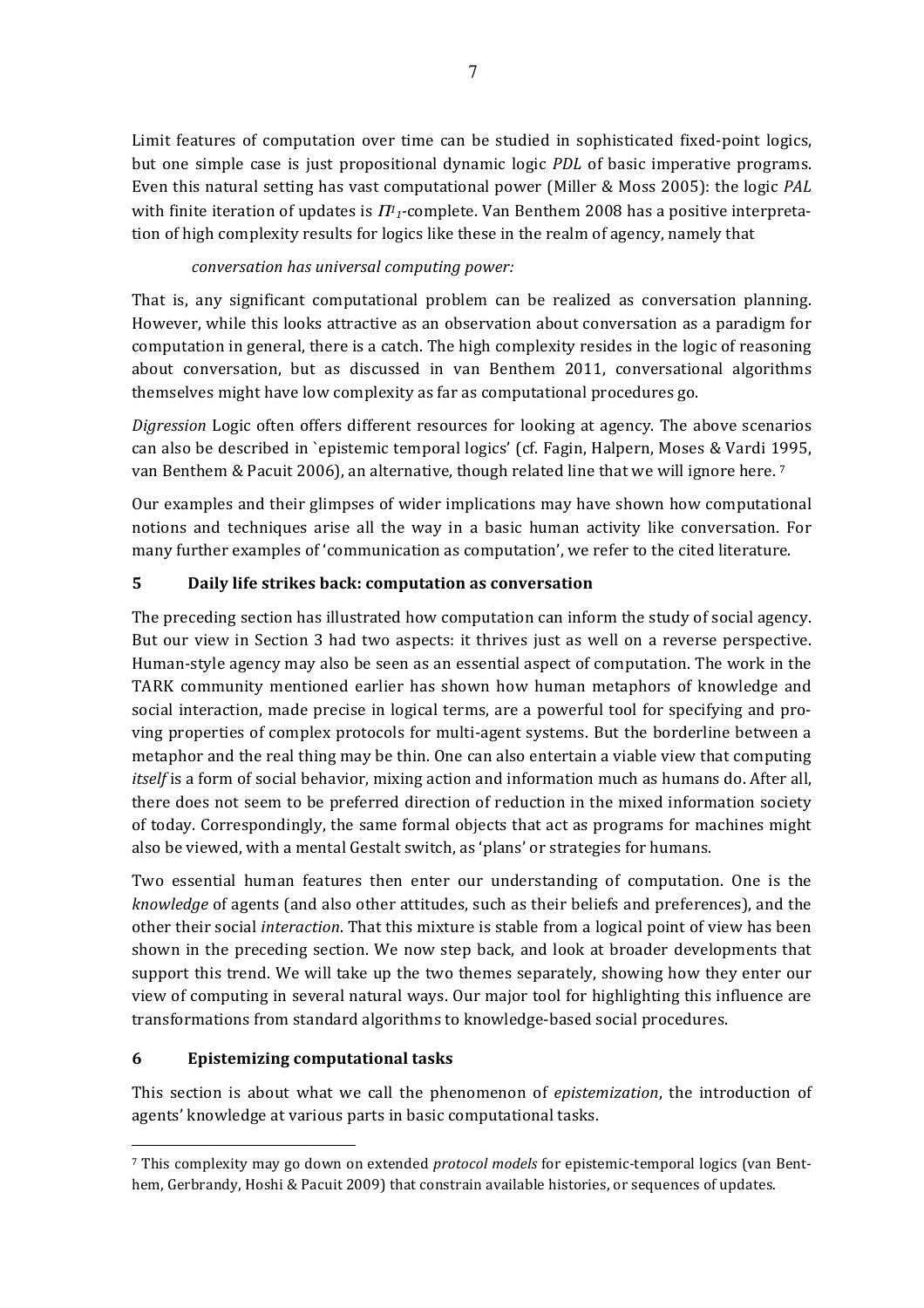Limit features of computation over time can be studied in sophisticated fixed-point logics, but one simple case is just propositional dynamic logic *PDL* of basic imperative programs. Even this natural setting has vast computational power (Miller & Moss 2005): the logic *PAL* with finite iteration of updates is  $\pi_1$ -complete. Van Benthem 2008 has a positive interpretation of high complexity results for logics like these in the realm of agency, namely that

# *conversation has universal computing power:*

That is, any significant computational problem can be realized as conversation planning. However, while this looks attractive as an observation about conversation as a paradigm for computation in general, there is a catch. The high complexity resides in the logic of reasoning about conversation, but as discussed in van Benthem 2011, conversational algorithms themselves might have low complexity as far as computational procedures go.

*Digression* Logic often offers different resources for looking at agency. The above scenarios can also be described in 'epistemic temporal logics' (cf. Fagin, Halpern, Moses & Vardi 1995, van Benthem & Pacuit 2006), an alternative, though related line that we will ignore here.<sup>7</sup>

Our examples and their glimpses of wider implications may have shown how computational notions and techniques arise all the way in a basic human activity like conversation. For many further examples of 'communication as computation', we refer to the cited literature.

# **5 Daily life strikes back: computation as conversation**

The preceding section has illustrated how computation can inform the study of social agency. But our view in Section 3 had two aspects: it thrives just as well on a reverse perspective. Human-style agency may also be seen as an essential aspect of computation. The work in the TARK community mentioned earlier has shown how human metaphors of knowledge and social interaction, made precise in logical terms, are a powerful tool for specifying and proving properties of complex protocols for multi-agent systems. But the borderline between a metaphor and the real thing may be thin. One can also entertain a viable view that computing *itself* is a form of social behavior, mixing action and information much as humans do. After all, there does not seem to be preferred direction of reduction in the mixed information society of today. Correspondingly, the same formal objects that act as programs for machines might also be viewed, with a mental Gestalt switch, as 'plans' or strategies for humans.

Two essential human features then enter our understanding of computation. One is the *knowledge* of agents (and also other attitudes, such as their beliefs and preferences), and the other their social *interaction*. That this mixture is stable from a logical point of view has been shown in the preceding section. We now step back, and look at broader developments that support this trend. We will take up the two themes separately, showing how they enter our view of computing in several natural ways. Our major tool for highlighting this influence are transformations from standard algorithms to knowledge-based social procedures.

## **6 Epistemizing computational tasks**

 $\overline{a}$ 

This section is about what we call the phenomenon of *epistemization*, the introduction of agents' knowledge at various parts in basic computational tasks.

<sup>&</sup>lt;sup>7</sup> This complexity may go down on extended *protocol models* for epistemic-temporal logics (van Benthem, Gerbrandy, Hoshi & Pacuit 2009) that constrain available histories, or sequences of updates.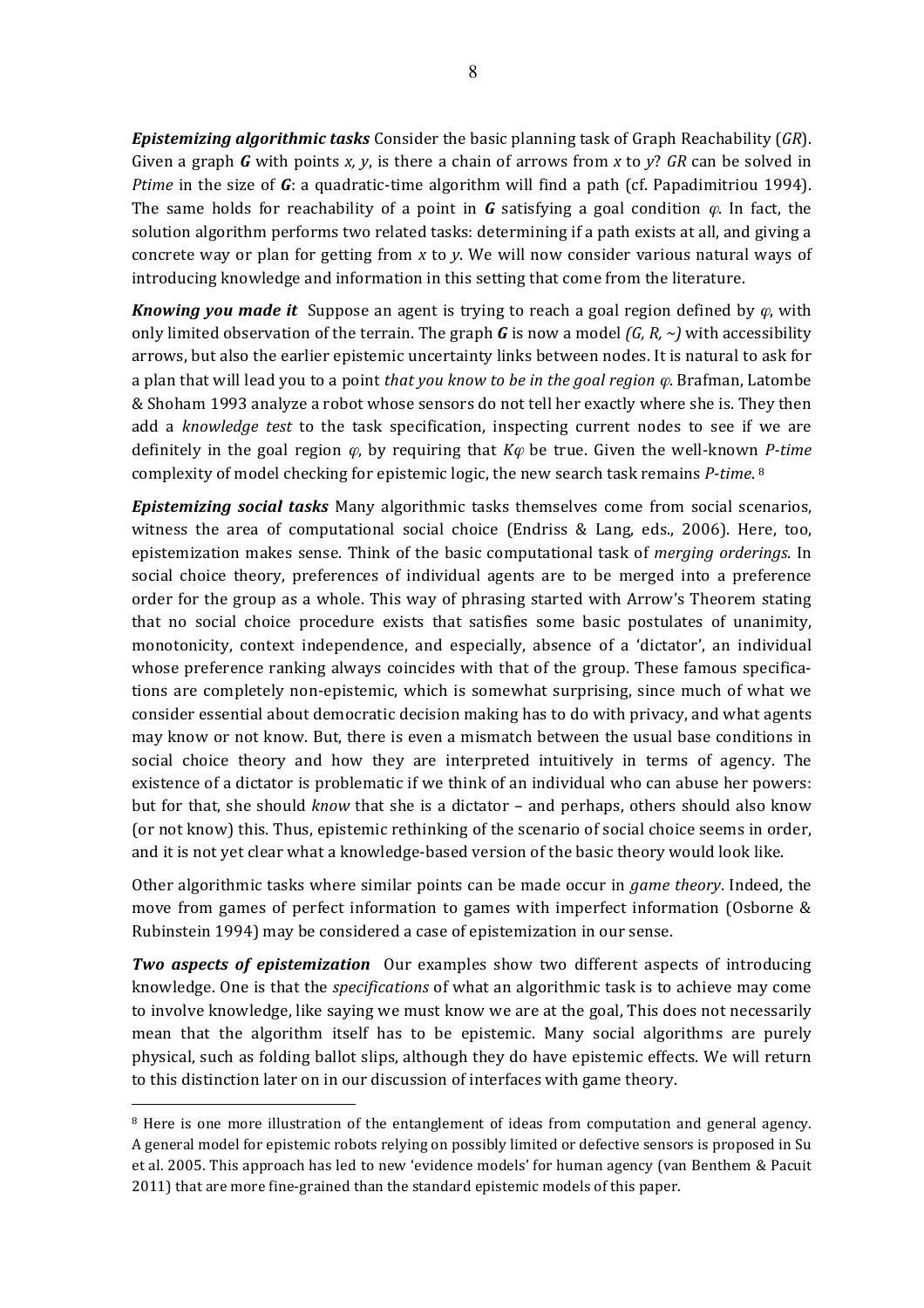**Epistemizing algorithmic tasks** Consider the basic planning task of Graph Reachability (GR). Given a graph **G** with points *x*, *y*, is there a chain of arrows from *x* to *y*? GR can be solved in *Ptime* in the size of G: a quadratic-time algorithm will find a path (cf. Papadimitriou 1994). The same holds for reachability of a point in *G* satisfying a goal condition  $\varphi$ . In fact, the solution algorithm performs two related tasks: determining if a path exists at all, and giving a concrete way or plan for getting from *x* to *y*. We will now consider various natural ways of introducing knowledge and information in this setting that come from the literature.

*Knowing you made it* Suppose an agent is trying to reach a goal region defined by  $\varphi$ , with only limited observation of the terrain. The graph *G* is now a model  $(G, R, \sim)$  with accessibility arrows, but also the earlier epistemic uncertainty links between nodes. It is natural to ask for a plan that will lead you to a point *that you know to be in the goal region*  $\varphi$ . Brafman, Latombe & Shoham 1993 analyze a robot whose sensors do not tell her exactly where she is. They then add a *knowledge test* to the task specification, inspecting current nodes to see if we are definitely in the goal region  $\varphi$ , by requiring that  $K\varphi$  be true. Given the well-known *P-time* complexity of model checking for epistemic logic, the new search task remains *P-time*.<sup>8</sup>

**Epistemizing social tasks** Many algorithmic tasks themselves come from social scenarios, witness the area of computational social choice (Endriss & Lang, eds., 2006). Here, too, epistemization makes sense. Think of the basic computational task of *merging orderings*. In social choice theory, preferences of individual agents are to be merged into a preference order for the group as a whole. This way of phrasing started with Arrow's Theorem stating that no social choice procedure exists that satisfies some basic postulates of unanimity, monotonicity, context independence, and especially, absence of a 'dictator', an individual whose preference ranking always coincides with that of the group. These famous specifications are completely non-epistemic, which is somewhat surprising, since much of what we consider essential about democratic decision making has to do with privacy, and what agents may know or not know. But, there is even a mismatch between the usual base conditions in social choice theory and how they are interpreted intuitively in terms of agency. The existence of a dictator is problematic if we think of an individual who can abuse her powers: but for that, she should *know* that she is a dictator – and perhaps, others should also know (or not know) this. Thus, epistemic rethinking of the scenario of social choice seems in order, and it is not yet clear what a knowledge-based version of the basic theory would look like.

Other algorithmic tasks where similar points can be made occur in *game theory*. Indeed, the move from games of perfect information to games with imperfect information (Osborne  $\&$ Rubinstein 1994) may be considered a case of epistemization in our sense.

*Two aspects of epistemization* Our examples show two different aspects of introducing knowledge. One is that the *specifications* of what an algorithmic task is to achieve may come to involve knowledge, like saying we must know we are at the goal, This does not necessarily mean that the algorithm itself has to be epistemic. Many social algorithms are purely physical, such as folding ballot slips, although they do have epistemic effects. We will return to this distinction later on in our discussion of interfaces with game theory.

<sup>&</sup>lt;sup>8</sup> Here is one more illustration of the entanglement of ideas from computation and general agency. A general model for epistemic robots relying on possibly limited or defective sensors is proposed in Su et al. 2005. This approach has led to new 'evidence models' for human agency (van Benthem & Pacuit 2011) that are more fine-grained than the standard epistemic models of this paper.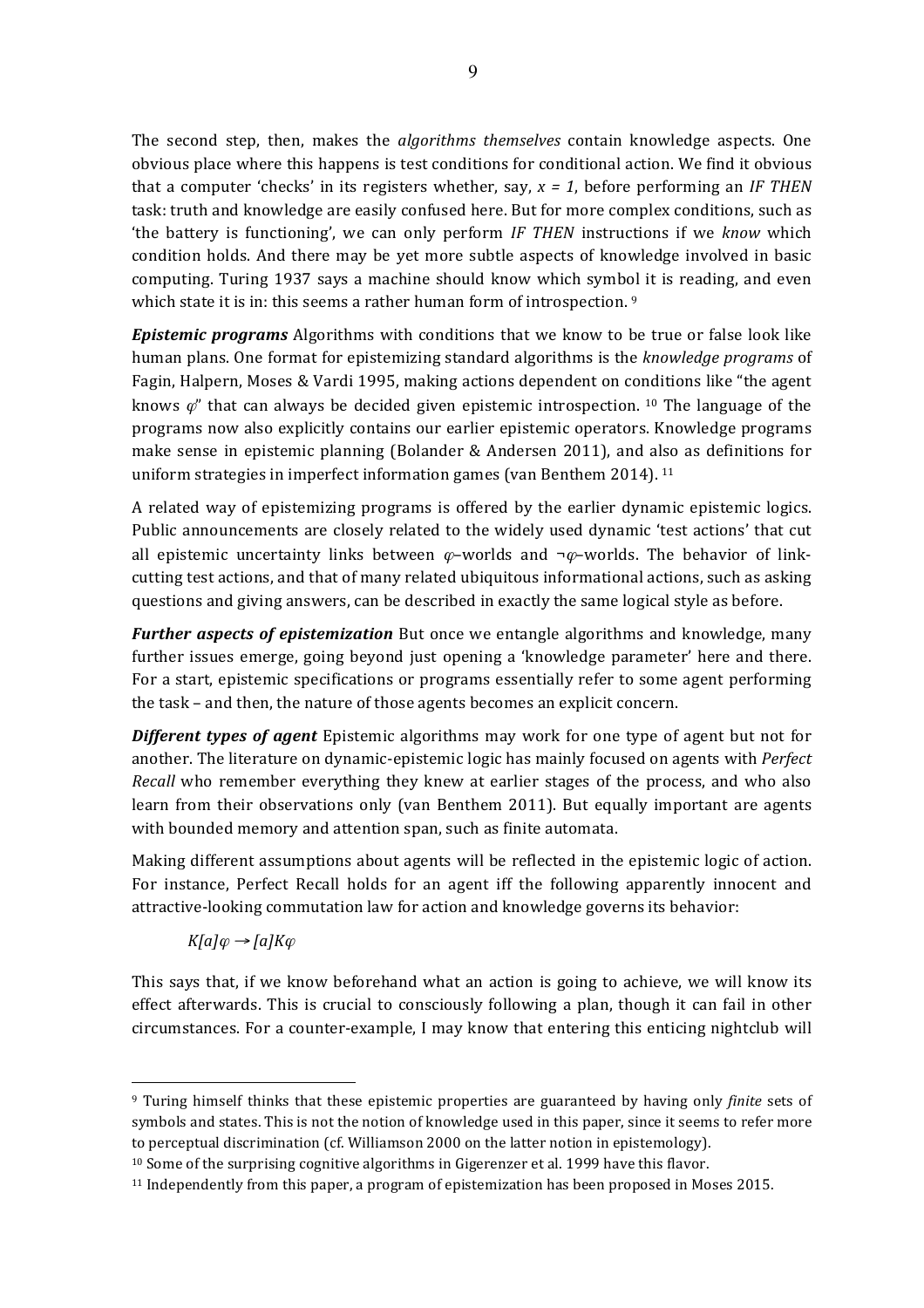The second step, then, makes the *algorithms themselves* contain knowledge aspects. One obvious place where this happens is test conditions for conditional action. We find it obvious that a computer 'checks' in its registers whether, say,  $x = 1$ , before performing an *IF THEN* task: truth and knowledge are easily confused here. But for more complex conditions, such as 'the battery is functioning', we can only perform *IF* THEN instructions if we know which condition holds. And there may be yet more subtle aspects of knowledge involved in basic computing. Turing 1937 says a machine should know which symbol it is reading, and even which state it is in: this seems a rather human form of introspection.  $9$ 

*Epistemic programs* Algorithms with conditions that we know to be true or false look like human plans. One format for epistemizing standard algorithms is the *knowledge programs* of Fagin, Halpern, Moses & Vardi 1995, making actions dependent on conditions like "the agent knows  $\varphi$ " that can always be decided given epistemic introspection. <sup>10</sup> The language of the programs now also explicitly contains our earlier epistemic operators. Knowledge programs make sense in epistemic planning (Bolander & Andersen 2011), and also as definitions for uniform strategies in imperfect information games (van Benthem 2014).  $11$ 

A related way of epistemizing programs is offered by the earlier dynamic epistemic logics. Public announcements are closely related to the widely used dynamic 'test actions' that cut all epistemic uncertainty links between  $\varphi$ –worlds and  $\neg \varphi$ –worlds. The behavior of linkcutting test actions, and that of many related ubiquitous informational actions, such as asking questions and giving answers, can be described in exactly the same logical style as before.

*Further aspects of epistemization* But once we entangle algorithms and knowledge, many further issues emerge, going beyond just opening a 'knowledge parameter' here and there. For a start, epistemic specifications or programs essentially refer to some agent performing the task – and then, the nature of those agents becomes an explicit concern.

**Different types of agent** Epistemic algorithms may work for one type of agent but not for another. The literature on dynamic-epistemic logic has mainly focused on agents with *Perfect Recall* who remember everything they knew at earlier stages of the process, and who also learn from their observations only (van Benthem 2011). But equally important are agents with bounded memory and attention span, such as finite automata.

Making different assumptions about agents will be reflected in the epistemic logic of action. For instance, Perfect Recall holds for an agent iff the following apparently innocent and attractive-looking commutation law for action and knowledge governs its behavior:

 $K[a]\varphi \rightarrow [a]K\varphi$ 

 $\overline{a}$ 

This says that, if we know beforehand what an action is going to achieve, we will know its effect afterwards. This is crucial to consciously following a plan, though it can fail in other circumstances. For a counter-example, I may know that entering this enticing nightclub will

<sup>&</sup>lt;sup>9</sup> Turing himself thinks that these epistemic properties are guaranteed by having only *finite* sets of symbols and states. This is not the notion of knowledge used in this paper, since it seems to refer more to perceptual discrimination (cf. Williamson 2000 on the latter notion in epistemology).

 $10$  Some of the surprising cognitive algorithms in Gigerenzer et al. 1999 have this flavor.

 $11$  Independently from this paper, a program of epistemization has been proposed in Moses 2015.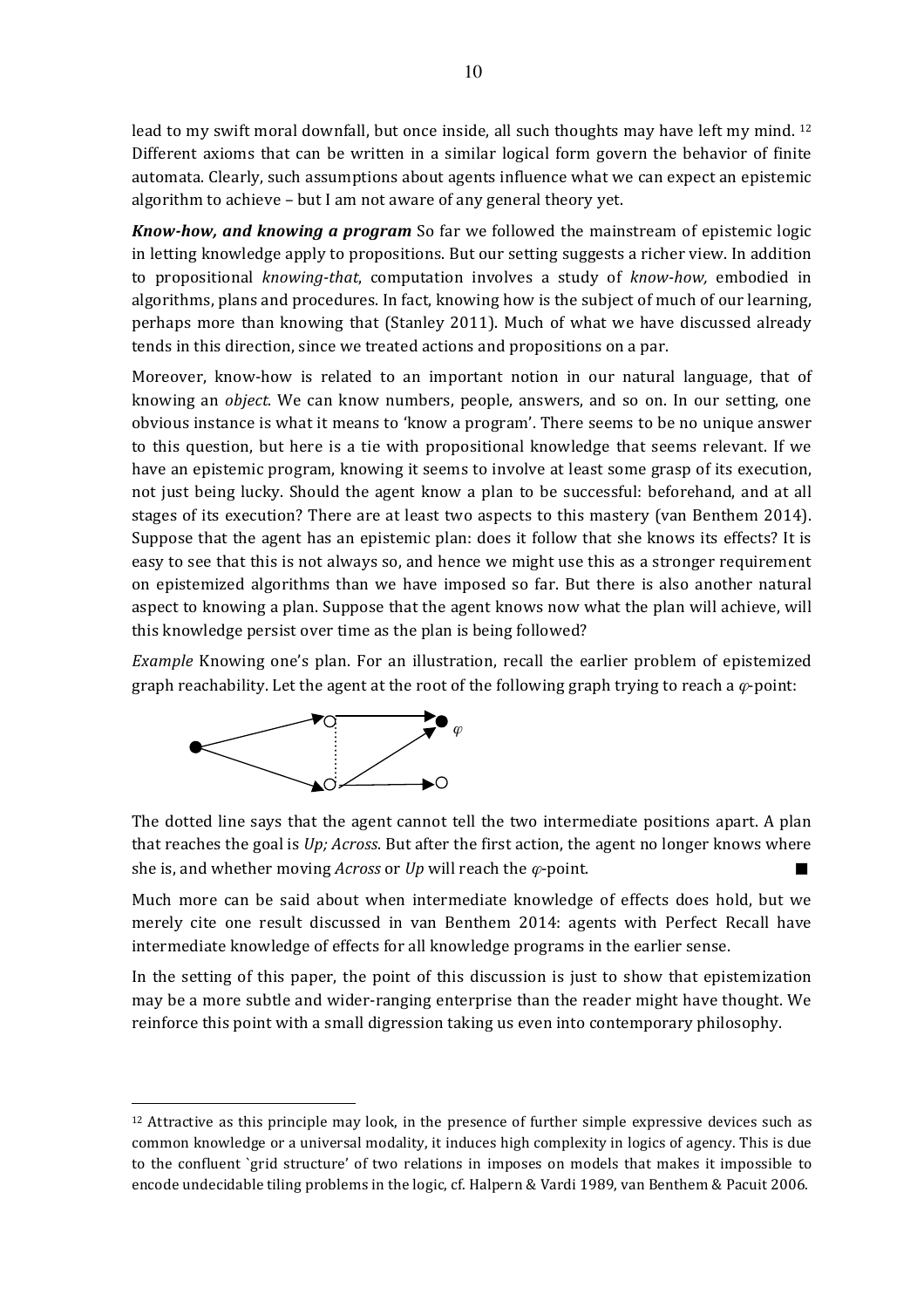lead to my swift moral downfall, but once inside, all such thoughts may have left my mind.  $12$ Different axioms that can be written in a similar logical form govern the behavior of finite automata. Clearly, such assumptions about agents influence what we can expect an epistemic algorithm to achieve - but I am not aware of any general theory yet.

*Know-how, and knowing a program* So far we followed the mainstream of epistemic logic in letting knowledge apply to propositions. But our setting suggests a richer view. In addition to propositional *knowing-that*, computation involves a study of *know-how*, embodied in algorithms, plans and procedures. In fact, knowing how is the subject of much of our learning, perhaps more than knowing that (Stanley 2011). Much of what we have discussed already tends in this direction, since we treated actions and propositions on a par.

Moreover, know-how is related to an important notion in our natural language, that of knowing an *object*. We can know numbers, people, answers, and so on. In our setting, one obvious instance is what it means to 'know a program'. There seems to be no unique answer to this question, but here is a tie with propositional knowledge that seems relevant. If we have an epistemic program, knowing it seems to involve at least some grasp of its execution, not just being lucky. Should the agent know a plan to be successful: beforehand, and at all stages of its execution? There are at least two aspects to this mastery (van Benthem 2014). Suppose that the agent has an epistemic plan: does it follow that she knows its effects? It is easy to see that this is not always so, and hence we might use this as a stronger requirement on epistemized algorithms than we have imposed so far. But there is also another natural aspect to knowing a plan. Suppose that the agent knows now what the plan will achieve, will this knowledge persist over time as the plan is being followed?

*Example* Knowing one's plan. For an illustration, recall the earlier problem of epistemized graph reachability. Let the agent at the root of the following graph trying to reach a  $\varphi$ -point:



 $\overline{a}$ 

The dotted line says that the agent cannot tell the two intermediate positions apart. A plan that reaches the goal is  $Up$ ; *Across*. But after the first action, the agent no longer knows where she is, and whether moving *Across* or *Up* will reach the  $\varphi$ -point.

Much more can be said about when intermediate knowledge of effects does hold, but we merely cite one result discussed in van Benthem 2014: agents with Perfect Recall have intermediate knowledge of effects for all knowledge programs in the earlier sense.

In the setting of this paper, the point of this discussion is just to show that epistemization may be a more subtle and wider-ranging enterprise than the reader might have thought. We reinforce this point with a small digression taking us even into contemporary philosophy.

 $12$  Attractive as this principle may look, in the presence of further simple expressive devices such as common knowledge or a universal modality, it induces high complexity in logics of agency. This is due to the confluent `grid structure' of two relations in imposes on models that makes it impossible to encode undecidable tiling problems in the logic, cf. Halpern & Vardi 1989, van Benthem & Pacuit 2006.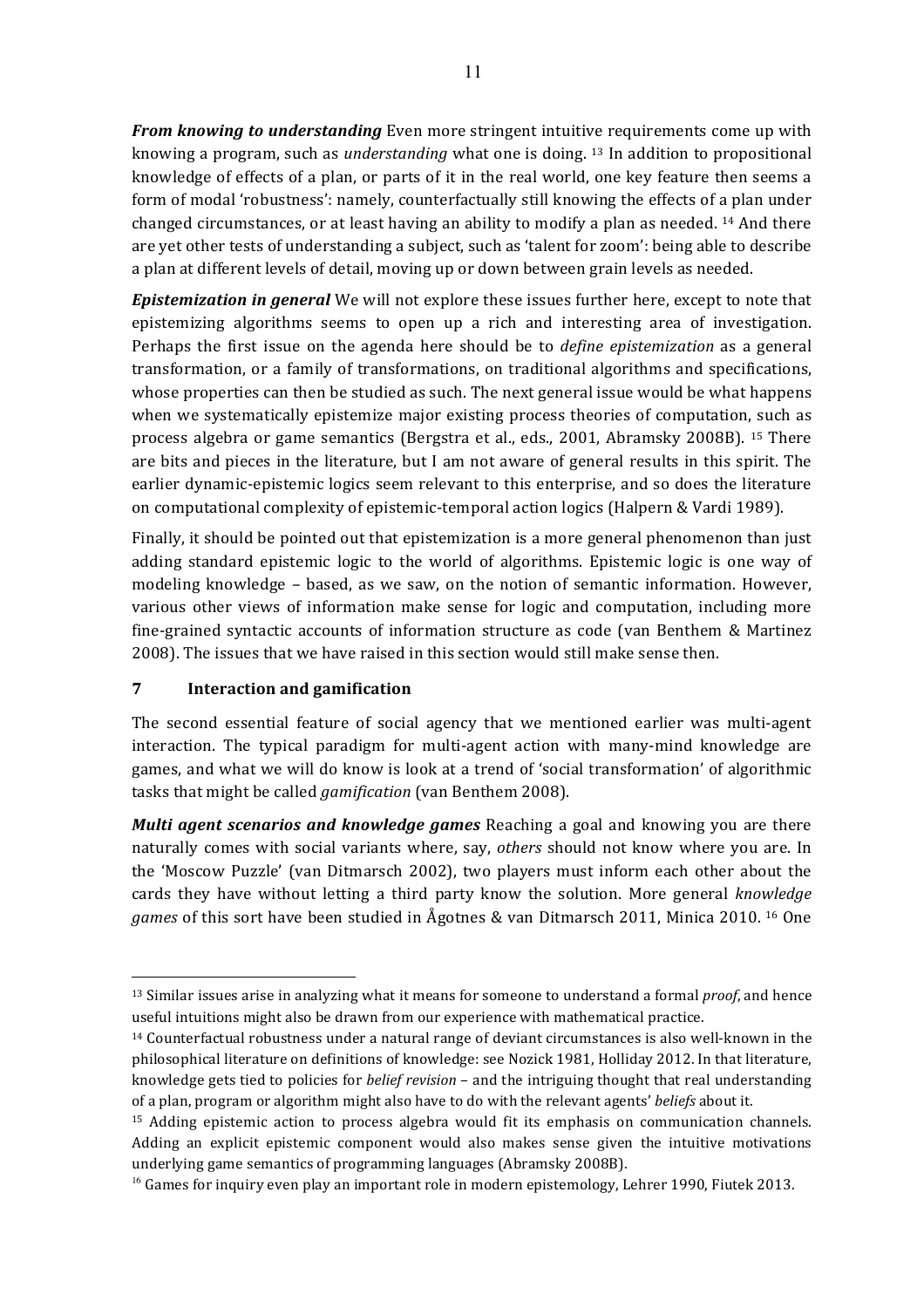*From knowing to understanding* Even more stringent intuitive requirements come up with knowing a program, such as *understanding* what one is doing. <sup>13</sup> In addition to propositional knowledge of effects of a plan, or parts of it in the real world, one key feature then seems a form of modal 'robustness': namely, counterfactually still knowing the effects of a plan under changed circumstances, or at least having an ability to modify a plan as needed.  $^{14}$  And there are yet other tests of understanding a subject, such as 'talent for zoom': being able to describe a plan at different levels of detail, moving up or down between grain levels as needed.

**Epistemization in general** We will not explore these issues further here, except to note that epistemizing algorithms seems to open up a rich and interesting area of investigation. Perhaps the first issue on the agenda here should be to *define epistemization* as a general transformation, or a family of transformations, on traditional algorithms and specifications, whose properties can then be studied as such. The next general issue would be what happens when we systematically epistemize major existing process theories of computation, such as process algebra or game semantics (Bergstra et al., eds., 2001, Abramsky 2008B). <sup>15</sup> There are bits and pieces in the literature, but I am not aware of general results in this spirit. The earlier dynamic-epistemic logics seem relevant to this enterprise, and so does the literature on computational complexity of epistemic-temporal action logics (Halpern & Vardi 1989).

Finally, it should be pointed out that epistemization is a more general phenomenon than just adding standard epistemic logic to the world of algorithms. Epistemic logic is one way of modeling knowledge - based, as we saw, on the notion of semantic information. However, various other views of information make sense for logic and computation, including more fine-grained syntactic accounts of information structure as code (van Benthem & Martinez 2008). The issues that we have raised in this section would still make sense then.

# **7 Interaction and gamification**

 $\overline{a}$ 

The second essential feature of social agency that we mentioned earlier was multi-agent interaction. The typical paradigm for multi-agent action with many-mind knowledge are games, and what we will do know is look at a trend of 'social transformation' of algorithmic tasks that might be called *gamification* (van Benthem 2008).

*Multi agent scenarios and knowledge games* Reaching a goal and knowing you are there naturally comes with social variants where, say, *others* should not know where you are. In the 'Moscow Puzzle' (van Ditmarsch 2002), two players must inform each other about the cards they have without letting a third party know the solution. More general *knowledge games* of this sort have been studied in Agotnes & van Ditmarsch 2011, Minica 2010. <sup>16</sup> One

<sup>&</sup>lt;sup>13</sup> Similar issues arise in analyzing what it means for someone to understand a formal *proof*, and hence useful intuitions might also be drawn from our experience with mathematical practice.

 $14$  Counterfactual robustness under a natural range of deviant circumstances is also well-known in the philosophical literature on definitions of knowledge: see Nozick 1981, Holliday 2012. In that literature, knowledge gets tied to policies for *belief revision* – and the intriguing thought that real understanding of a plan, program or algorithm might also have to do with the relevant agents' *beliefs* about it.

 $15$  Adding epistemic action to process algebra would fit its emphasis on communication channels. Adding an explicit epistemic component would also makes sense given the intuitive motivations underlying game semantics of programming languages (Abramsky 2008B).

 $^{16}$  Games for inquiry even play an important role in modern epistemology, Lehrer 1990, Fiutek 2013.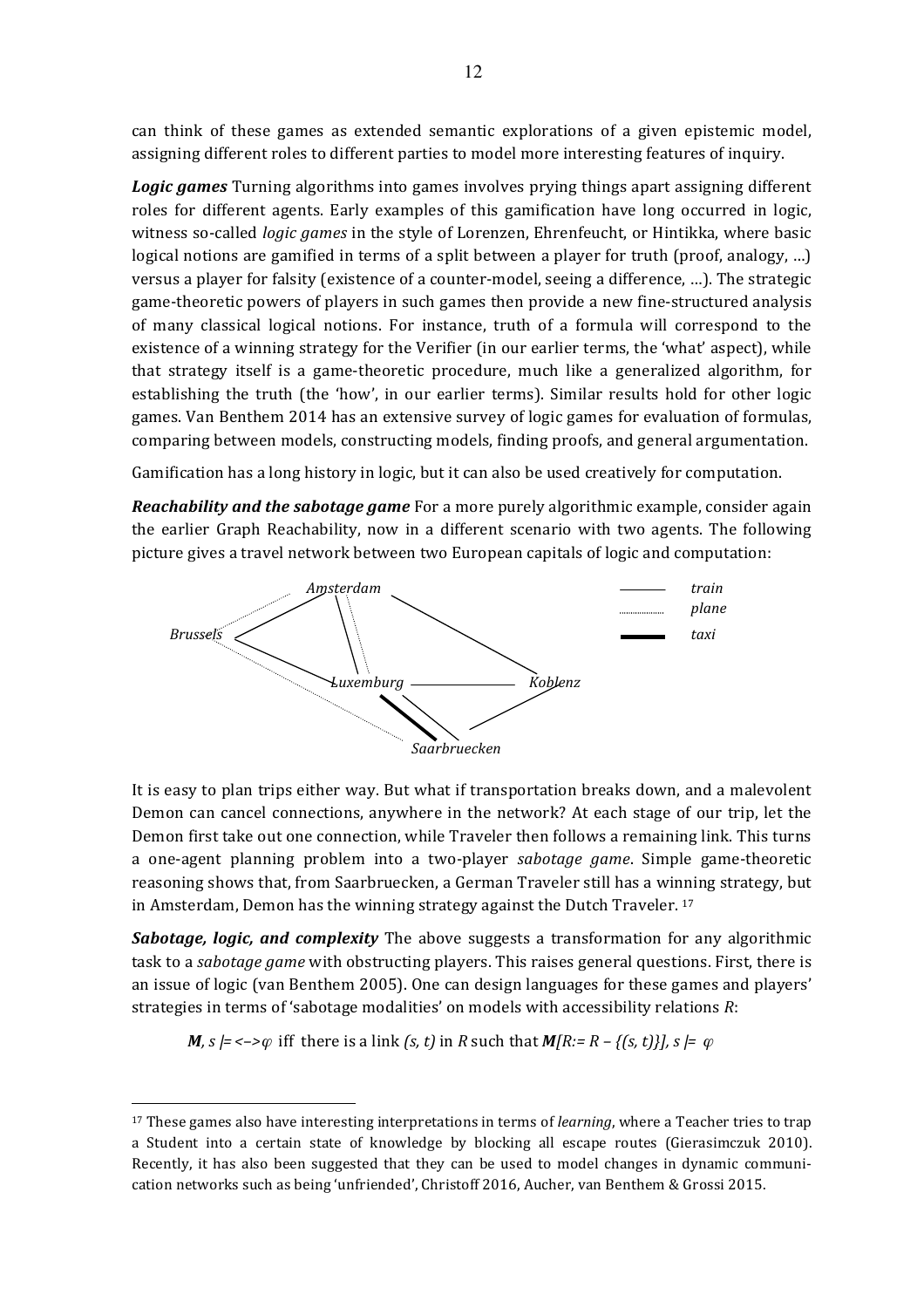can think of these games as extended semantic explorations of a given epistemic model, assigning different roles to different parties to model more interesting features of inquiry.

*Logic games* Turning algorithms into games involves prying things apart assigning different roles for different agents. Early examples of this gamification have long occurred in logic, witness so-called *logic games* in the style of Lorenzen, Ehrenfeucht, or Hintikka, where basic logical notions are gamified in terms of a split between a player for truth (proof, analogy, ...) versus a player for falsity (existence of a counter-model, seeing a difference, ...). The strategic game-theoretic powers of players in such games then provide a new fine-structured analysis of many classical logical notions. For instance, truth of a formula will correspond to the existence of a winning strategy for the Verifier (in our earlier terms, the 'what' aspect), while that strategy itself is a game-theoretic procedure, much like a generalized algorithm, for establishing the truth (the 'how', in our earlier terms). Similar results hold for other logic games. Van Benthem 2014 has an extensive survey of logic games for evaluation of formulas, comparing between models, constructing models, finding proofs, and general argumentation.

Gamification has a long history in logic, but it can also be used creatively for computation.

*Reachability and the sabotage game* For a more purely algorithmic example, consider again the earlier Graph Reachability, now in a different scenario with two agents. The following picture gives a travel network between two European capitals of logic and computation:



It is easy to plan trips either way. But what if transportation breaks down, and a malevolent Demon can cancel connections, anywhere in the network? At each stage of our trip, let the Demon first take out one connection, while Traveler then follows a remaining link. This turns a one-agent planning problem into a two-player *sabotage game*. Simple game-theoretic reasoning shows that, from Saarbruecken, a German Traveler still has a winning strategy, but in Amsterdam, Demon has the winning strategy against the Dutch Traveler.  $17$ 

*Sabotage, logic, and complexity* The above suggests a transformation for any algorithmic task to a *sabotage game* with obstructing players. This raises general questions. First, there is an issue of logic (van Benthem 2005). One can design languages for these games and players' strategies in terms of 'sabotage modalities' on models with accessibility relations *R*:

*M*,  $s \models \langle -\rangle \varphi$  iff there is a link  $(s, t)$  in R such that  $M[R] = R - \{(s, t)\}\}\$ ,  $s \models \varphi$ 

<sup>&</sup>lt;sup>17</sup> These games also have interesting interpretations in terms of *learning*, where a Teacher tries to trap a Student into a certain state of knowledge by blocking all escape routes (Gierasimczuk 2010). Recently, it has also been suggested that they can be used to model changes in dynamic communication networks such as being 'unfriended', Christoff 2016, Aucher, van Benthem & Grossi 2015.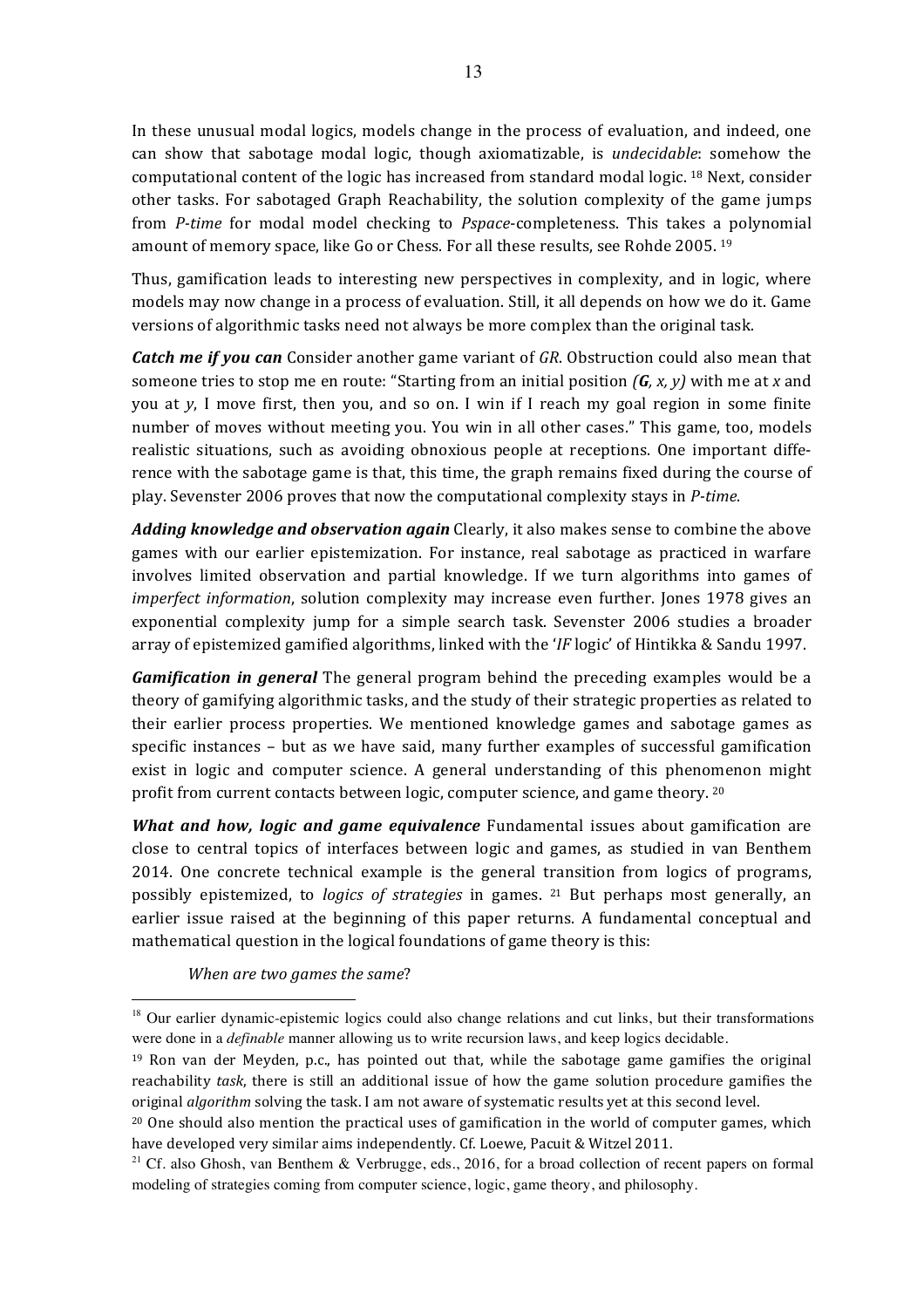In these unusual modal logics, models change in the process of evaluation, and indeed, one can show that sabotage modal logic, though axiomatizable, is *undecidable*: somehow the computational content of the logic has increased from standard modal logic. <sup>18</sup> Next, consider other tasks. For sabotaged Graph Reachability, the solution complexity of the game jumps from *P-time* for modal model checking to *Pspace-completeness*. This takes a polynomial amount of memory space, like Go or Chess. For all these results, see Rohde 2005. <sup>19</sup>

Thus, gamification leads to interesting new perspectives in complexity, and in logic, where models may now change in a process of evaluation. Still, it all depends on how we do it. Game versions of algorithmic tasks need not always be more complex than the original task.

**Catch me if you can** Consider another game variant of GR. Obstruction could also mean that someone tries to stop me en route: "Starting from an initial position  $(G, x, y)$  with me at x and you at *y*, I move first, then you, and so on. I win if I reach my goal region in some finite number of moves without meeting you. You win in all other cases." This game, too, models realistic situations, such as avoiding obnoxious people at receptions. One important difference with the sabotage game is that, this time, the graph remains fixed during the course of play. Sevenster 2006 proves that now the computational complexity stays in *P-time*.

Adding knowledge and observation again Clearly, it also makes sense to combine the above games with our earlier epistemization. For instance, real sabotage as practiced in warfare involves limited observation and partial knowledge. If we turn algorithms into games of *imperfect information*, solution complexity may increase even further. Jones 1978 gives an exponential complexity jump for a simple search task. Sevenster 2006 studies a broader array of epistemized gamified algorithms, linked with the '*IF* logic' of Hintikka & Sandu 1997.

*Gamification in general* The general program behind the preceding examples would be a theory of gamifying algorithmic tasks, and the study of their strategic properties as related to their earlier process properties. We mentioned knowledge games and sabotage games as specific instances  $-$  but as we have said, many further examples of successful gamification exist in logic and computer science. A general understanding of this phenomenon might profit from current contacts between logic, computer science, and game theory.  $20$ 

*What and how, logic and game equivalence* Fundamental issues about gamification are close to central topics of interfaces between logic and games, as studied in van Benthem 2014. One concrete technical example is the general transition from logics of programs, possibly epistemized, to *logics of strategies* in games. <sup>21</sup> But perhaps most generally, an earlier issue raised at the beginning of this paper returns. A fundamental conceptual and mathematical question in the logical foundations of game theory is this:

*When are two games the same?* 

<sup>&</sup>lt;sup>18</sup> Our earlier dynamic-epistemic logics could also change relations and cut links, but their transformations were done in a *definable* manner allowing us to write recursion laws, and keep logics decidable.

 $19$  Ron van der Meyden, p.c., has pointed out that, while the sabotage game gamifies the original reachability *task*, there is still an additional issue of how the game solution procedure gamifies the original *algorithm* solving the task. I am not aware of systematic results yet at this second level.

 $^{20}$  One should also mention the practical uses of gamification in the world of computer games, which have developed very similar aims independently. Cf. Loewe, Pacuit & Witzel 2011.

<sup>&</sup>lt;sup>21</sup> Cf. also Ghosh, van Benthem & Verbrugge, eds., 2016, for a broad collection of recent papers on formal modeling of strategies coming from computer science, logic, game theory, and philosophy.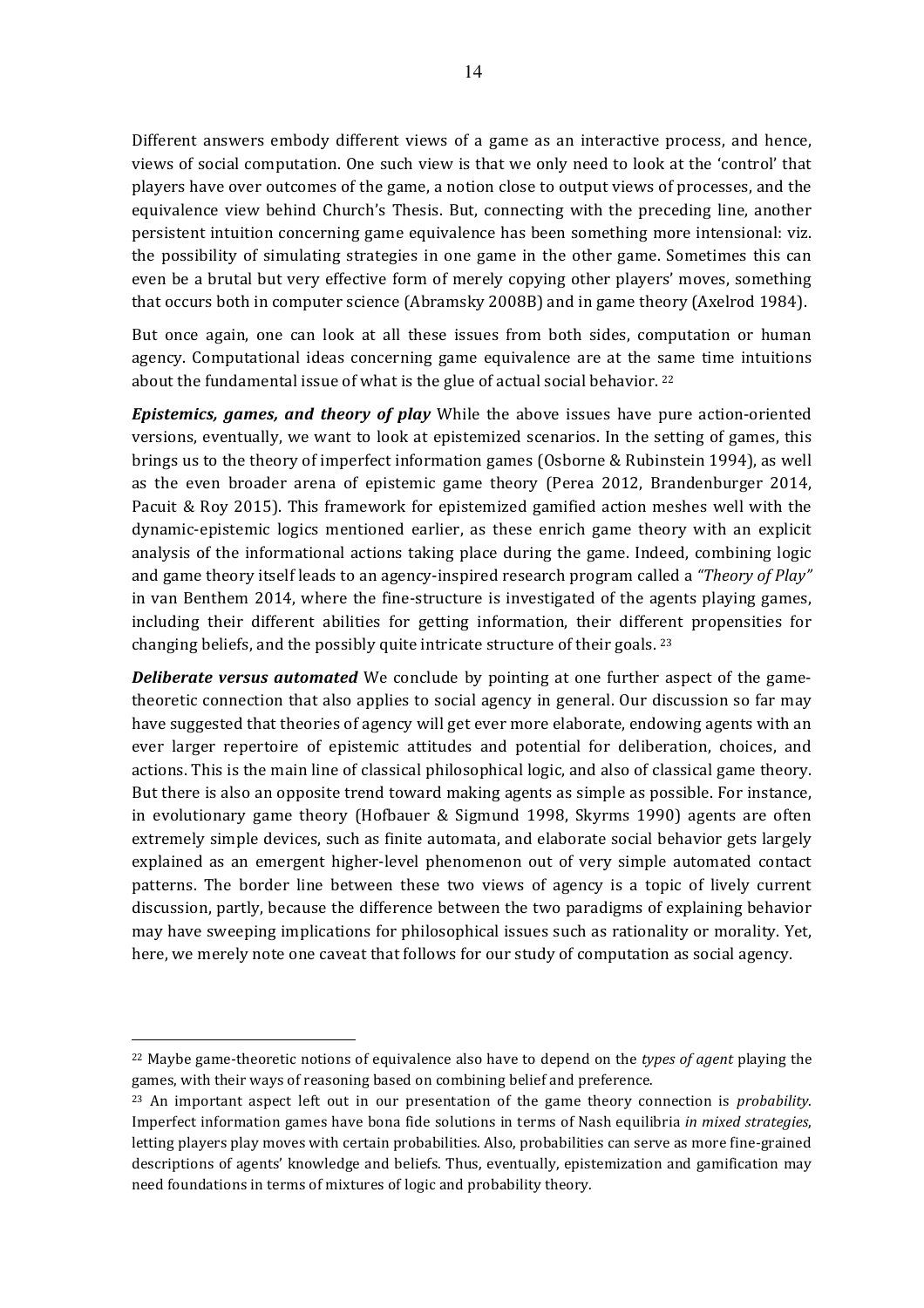Different answers embody different views of a game as an interactive process, and hence, views of social computation. One such view is that we only need to look at the 'control' that players have over outcomes of the game, a notion close to output views of processes, and the equivalence view behind Church's Thesis. But, connecting with the preceding line, another persistent intuition concerning game equivalence has been something more intensional: viz. the possibility of simulating strategies in one game in the other game. Sometimes this can even be a brutal but very effective form of merely copying other players' moves, something that occurs both in computer science (Abramsky 2008B) and in game theory (Axelrod 1984).

But once again, one can look at all these issues from both sides, computation or human agency. Computational ideas concerning game equivalence are at the same time intuitions about the fundamental issue of what is the glue of actual social behavior.  $22$ 

*Epistemics, games, and theory of play* While the above issues have pure action-oriented versions, eventually, we want to look at epistemized scenarios. In the setting of games, this brings us to the theory of imperfect information games (Osborne & Rubinstein 1994), as well as the even broader arena of epistemic game theory (Perea 2012, Brandenburger 2014, Pacuit & Roy 2015). This framework for epistemized gamified action meshes well with the dynamic-epistemic logics mentioned earlier, as these enrich game theory with an explicit analysis of the informational actions taking place during the game. Indeed, combining logic and game theory itself leads to an agency-inspired research program called a "Theory of Play" in van Benthem 2014, where the fine-structure is investigated of the agents playing games, including their different abilities for getting information, their different propensities for changing beliefs, and the possibly quite intricate structure of their goals.  $23$ 

**Deliberate versus automated** We conclude by pointing at one further aspect of the gametheoretic connection that also applies to social agency in general. Our discussion so far may have suggested that theories of agency will get ever more elaborate, endowing agents with an ever larger repertoire of epistemic attitudes and potential for deliberation, choices, and actions. This is the main line of classical philosophical logic, and also of classical game theory. But there is also an opposite trend toward making agents as simple as possible. For instance, in evolutionary game theory (Hofbauer  $&$  Sigmund 1998, Skyrms 1990) agents are often extremely simple devices, such as finite automata, and elaborate social behavior gets largely explained as an emergent higher-level phenomenon out of very simple automated contact patterns. The border line between these two views of agency is a topic of lively current discussion, partly, because the difference between the two paradigms of explaining behavior may have sweeping implications for philosophical issues such as rationality or morality. Yet, here, we merely note one caveat that follows for our study of computation as social agency.

 $^{22}$  Maybe game-theoretic notions of equivalence also have to depend on the *types of agent* playing the games, with their ways of reasoning based on combining belief and preference.

<sup>&</sup>lt;sup>23</sup> An important aspect left out in our presentation of the game theory connection is *probability*. Imperfect information games have bona fide solutions in terms of Nash equilibria in mixed strategies, letting players play moves with certain probabilities. Also, probabilities can serve as more fine-grained descriptions of agents' knowledge and beliefs. Thus, eventually, epistemization and gamification may need foundations in terms of mixtures of logic and probability theory.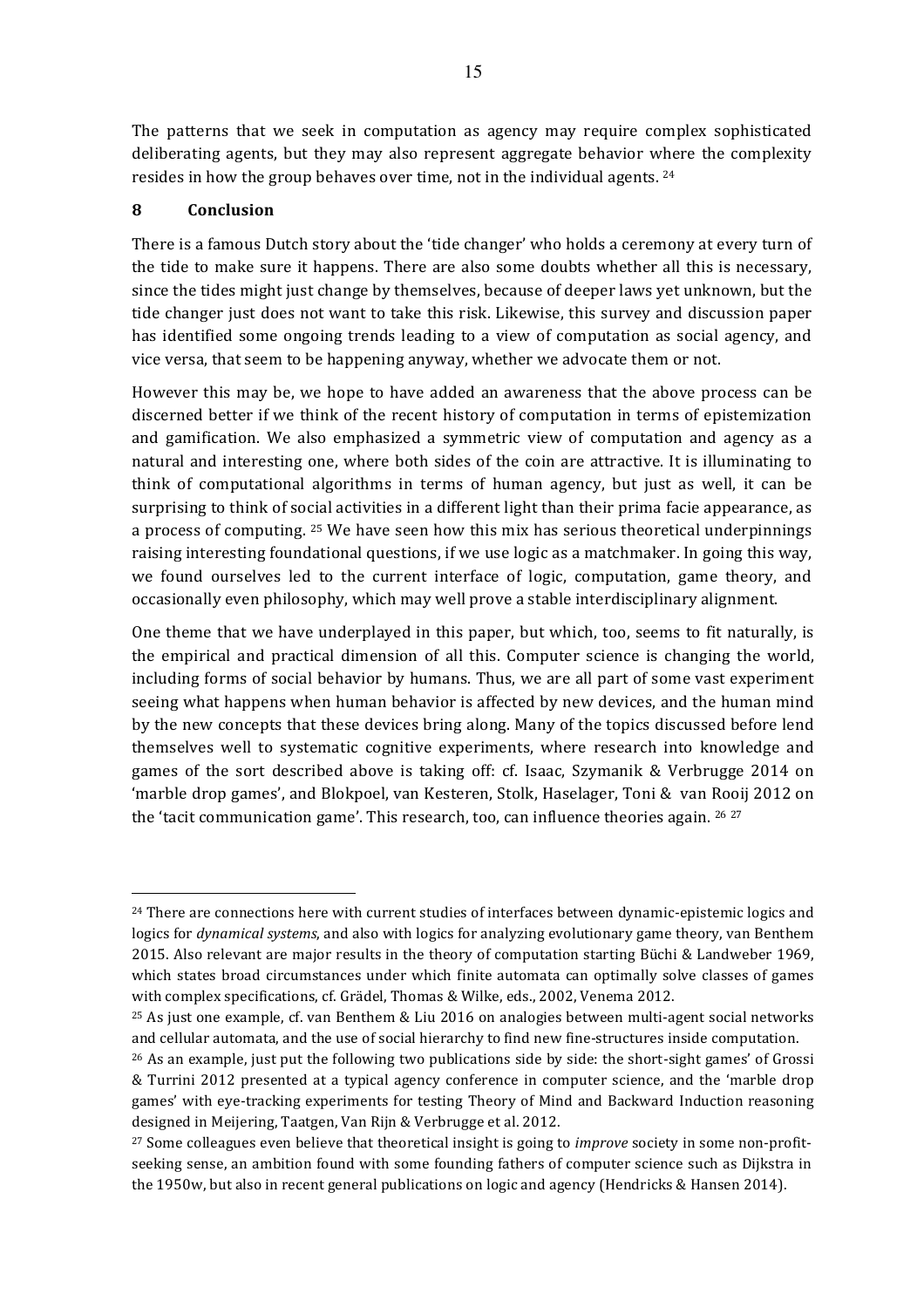The patterns that we seek in computation as agency may require complex sophisticated deliberating agents, but they may also represent aggregate behavior where the complexity resides in how the group behaves over time, not in the individual agents. <sup>24</sup>

#### **8 Conclusion**

 $\overline{a}$ 

There is a famous Dutch story about the 'tide changer' who holds a ceremony at every turn of the tide to make sure it happens. There are also some doubts whether all this is necessary, since the tides might just change by themselves, because of deeper laws yet unknown, but the tide changer just does not want to take this risk. Likewise, this survey and discussion paper has identified some ongoing trends leading to a view of computation as social agency, and vice versa, that seem to be happening anyway, whether we advocate them or not.

However this may be, we hope to have added an awareness that the above process can be discerned better if we think of the recent history of computation in terms of epistemization and gamification. We also emphasized a symmetric view of computation and agency as a natural and interesting one, where both sides of the coin are attractive. It is illuminating to think of computational algorithms in terms of human agency, but just as well, it can be surprising to think of social activities in a different light than their prima facie appearance, as a process of computing. <sup>25</sup> We have seen how this mix has serious theoretical underpinnings raising interesting foundational questions, if we use logic as a matchmaker. In going this way, we found ourselves led to the current interface of logic, computation, game theory, and occasionally even philosophy, which may well prove a stable interdisciplinary alignment.

One theme that we have underplayed in this paper, but which, too, seems to fit naturally, is the empirical and practical dimension of all this. Computer science is changing the world, including forms of social behavior by humans. Thus, we are all part of some vast experiment seeing what happens when human behavior is affected by new devices, and the human mind by the new concepts that these devices bring along. Many of the topics discussed before lend themselves well to systematic cognitive experiments, where research into knowledge and games of the sort described above is taking off: cf. Isaac, Szymanik & Verbrugge 2014 on 'marble drop games', and Blokpoel, van Kesteren, Stolk, Haselager, Toni & van Rooij 2012 on the 'tacit communication game'. This research, too, can influence theories again.  $2627$ 

<sup>&</sup>lt;sup>24</sup> There are connections here with current studies of interfaces between dynamic-epistemic logics and logics for *dynamical systems*, and also with logics for analyzing evolutionary game theory, van Benthem 2015. Also relevant are major results in the theory of computation starting Büchi & Landweber 1969, which states broad circumstances under which finite automata can optimally solve classes of games with complex specifications, cf. Grädel, Thomas & Wilke, eds., 2002, Venema 2012.

 $25$  As just one example, cf. van Benthem & Liu 2016 on analogies between multi-agent social networks and cellular automata, and the use of social hierarchy to find new fine-structures inside computation.

 $^{26}$  As an example, just put the following two publications side by side: the short-sight games' of Grossi & Turrini 2012 presented at a typical agency conference in computer science, and the 'marble drop games' with eye-tracking experiments for testing Theory of Mind and Backward Induction reasoning designed in Meijering, Taatgen, Van Rijn & Verbrugge et al. 2012.

<sup>&</sup>lt;sup>27</sup> Some colleagues even believe that theoretical insight is going to *improve* society in some non-profitseeking sense, an ambition found with some founding fathers of computer science such as Dijkstra in the 1950w, but also in recent general publications on logic and agency (Hendricks & Hansen 2014).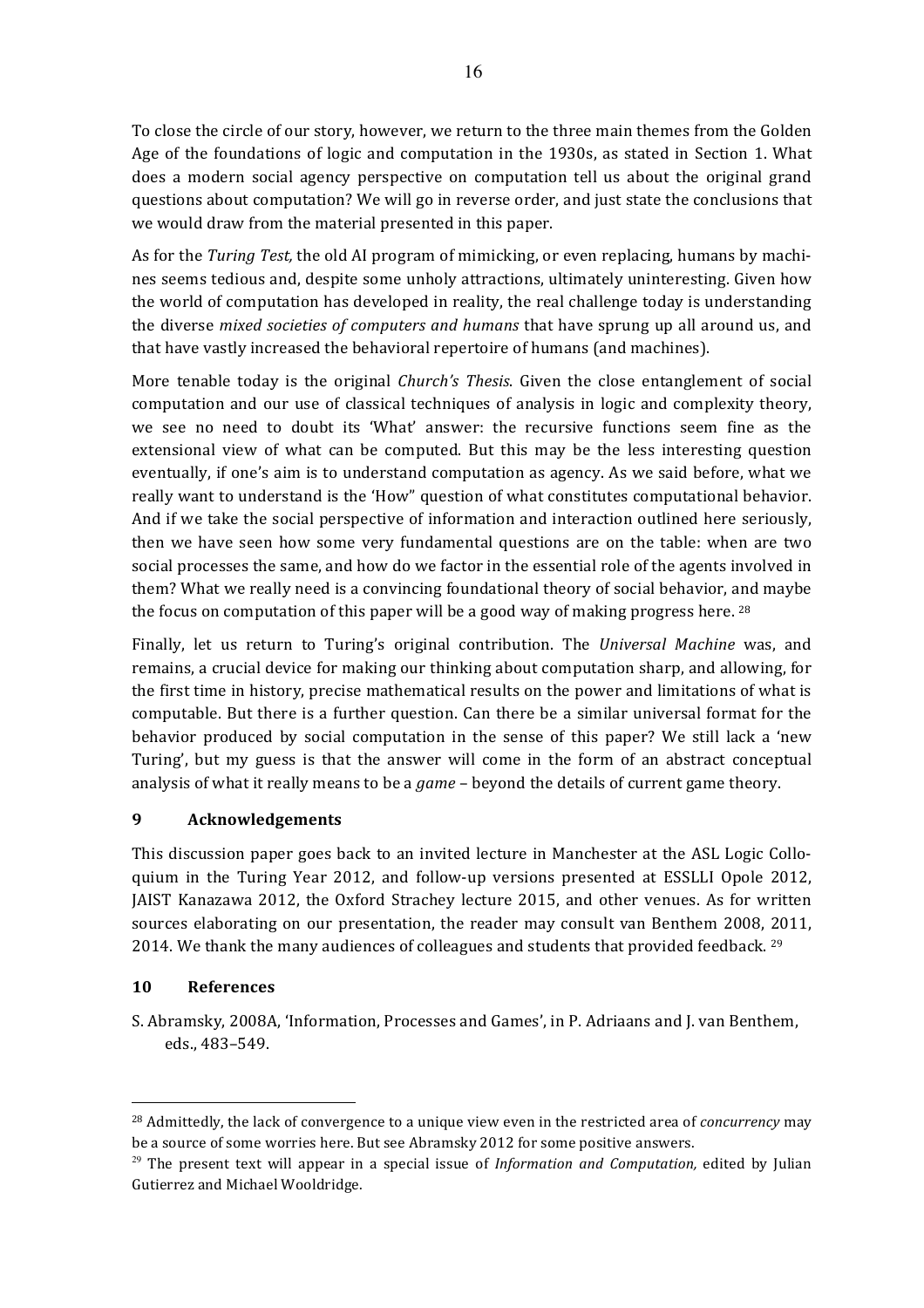To close the circle of our story, however, we return to the three main themes from the Golden Age of the foundations of logic and computation in the 1930s, as stated in Section 1. What does a modern social agency perspective on computation tell us about the original grand questions about computation? We will go in reverse order, and just state the conclusions that we would draw from the material presented in this paper.

As for the *Turing Test*, the old AI program of mimicking, or even replacing, humans by machines seems tedious and, despite some unholy attractions, ultimately uninteresting. Given how the world of computation has developed in reality, the real challenge today is understanding the diverse *mixed societies of computers and humans* that have sprung up all around us, and that have vastly increased the behavioral repertoire of humans (and machines).

More tenable today is the original *Church's Thesis*. Given the close entanglement of social computation and our use of classical techniques of analysis in logic and complexity theory, we see no need to doubt its 'What' answer: the recursive functions seem fine as the extensional view of what can be computed. But this may be the less interesting question eventually, if one's aim is to understand computation as agency. As we said before, what we really want to understand is the 'How" question of what constitutes computational behavior. And if we take the social perspective of information and interaction outlined here seriously, then we have seen how some very fundamental questions are on the table: when are two social processes the same, and how do we factor in the essential role of the agents involved in them? What we really need is a convincing foundational theory of social behavior, and maybe the focus on computation of this paper will be a good way of making progress here.  $^{28}$ 

Finally, let us return to Turing's original contribution. The *Universal Machine* was, and remains, a crucial device for making our thinking about computation sharp, and allowing, for the first time in history, precise mathematical results on the power and limitations of what is computable. But there is a further question. Can there be a similar universal format for the behavior produced by social computation in the sense of this paper? We still lack a 'new Turing', but my guess is that the answer will come in the form of an abstract conceptual analysis of what it really means to be a *game* – beyond the details of current game theory.

## **9 Acknowledgements**

This discussion paper goes back to an invited lecture in Manchester at the ASL Logic Colloquium in the Turing Year 2012, and follow-up versions presented at ESSLLI Opole 2012, JAIST Kanazawa 2012, the Oxford Strachey lecture 2015, and other venues. As for written sources elaborating on our presentation, the reader may consult van Benthem 2008, 2011, 2014. We thank the many audiences of colleagues and students that provided feedback.  $^{29}$ 

## **10 References**

 $\overline{a}$ 

S. Abramsky, 2008A, 'Information, Processes and Games', in P. Adriaans and J. van Benthem, eds., 483–549. 

<sup>&</sup>lt;sup>28</sup> Admittedly, the lack of convergence to a unique view even in the restricted area of *concurrency* may be a source of some worries here. But see Abramsky 2012 for some positive answers.

 $29$  The present text will appear in a special issue of *Information and Computation*, edited by Julian Gutierrez and Michael Wooldridge.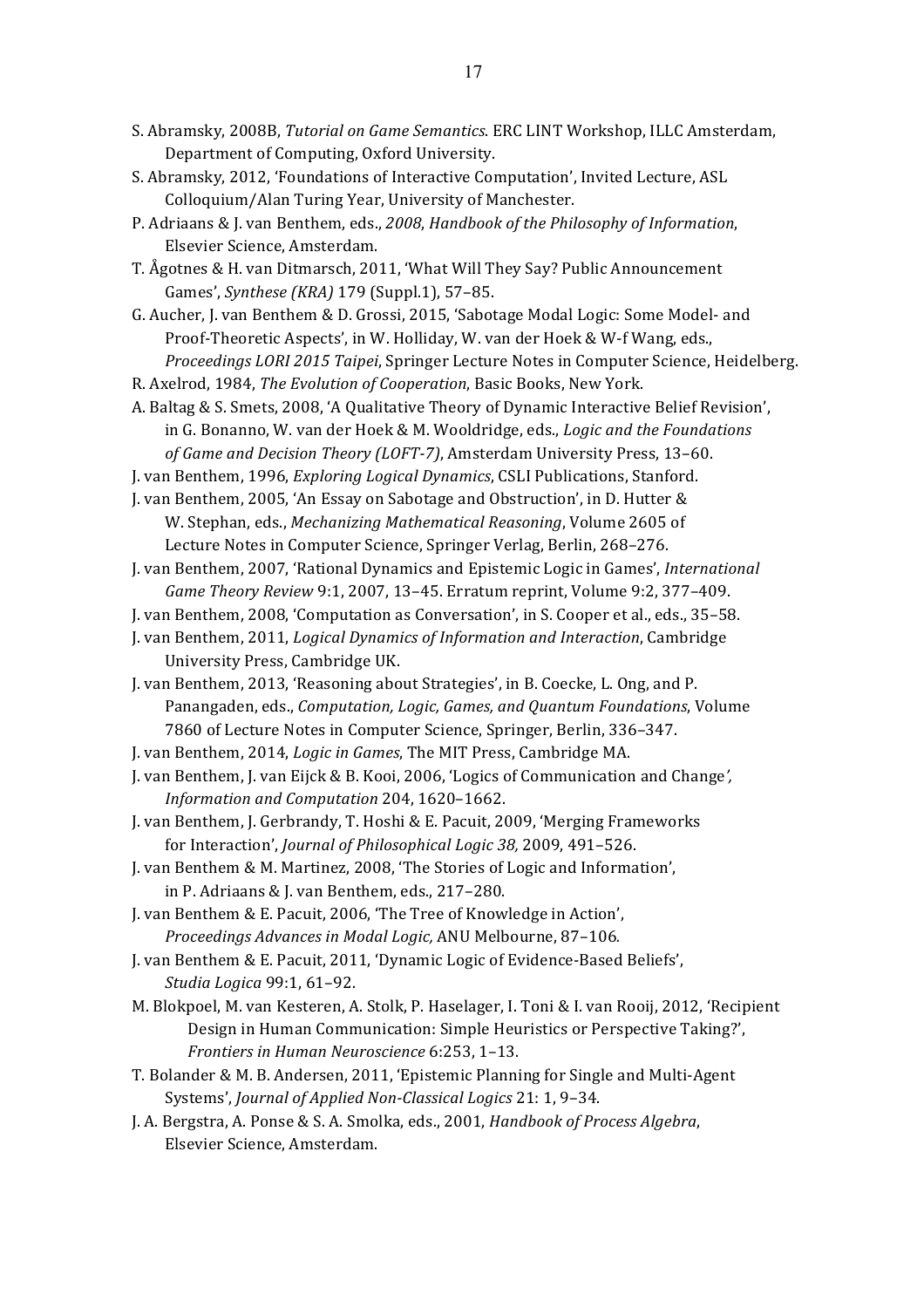- S. Abramsky, 2008B, *Tutorial on Game Semantics*. ERC LINT Workshop, ILLC Amsterdam, Department of Computing, Oxford University.
- S. Abramsky, 2012, 'Foundations of Interactive Computation', Invited Lecture, ASL Colloquium/Alan Turing Year, University of Manchester.
- P. Adriaans & J. van Benthem, eds., *2008*, *Handbook of the Philosophy of Information*, Elsevier Science, Amsterdam.
- T. Ågotnes & H. van Ditmarsch, 2011, 'What Will They Say? Public Announcement Games', *Synthese* (*KRA*) 179 (Suppl.1), 57-85.
- G. Aucher, J. van Benthem & D. Grossi, 2015, 'Sabotage Modal Logic: Some Model- and Proof-Theoretic Aspects', in W. Holliday, W. van der Hoek & W-f Wang, eds., *Proceedings LORI 2015 Taipei*, Springer Lecture Notes in Computer Science, Heidelberg.
- R. Axelrod, 1984, *The Evolution of Cooperation*, Basic Books, New York.
- A. Baltag & S. Smets, 2008, 'A Qualitative Theory of Dynamic Interactive Belief Revision', in G. Bonanno, W. van der Hoek & M. Wooldridge, eds., *Logic and the Foundations* of Game and Decision Theory (LOFT-7), Amsterdam University Press, 13-60.
- J. van Benthem, 1996, *Exploring Logical Dynamics*, CSLI Publications, Stanford.

J. van Benthem, 2005, 'An Essay on Sabotage and Obstruction', in D. Hutter & W. Stephan, eds., *Mechanizing Mathematical Reasoning*, Volume 2605 of Lecture Notes in Computer Science, Springer Verlag, Berlin, 268-276.

- J. van Benthem, 2007, 'Rational Dynamics and Epistemic Logic in Games', *International Game Theory Review* 9:1, 2007, 13-45. Erratum reprint, Volume 9:2, 377-409.
- J. van Benthem, 2008, 'Computation as Conversation', in S. Cooper et al., eds., 35-58.
- J. van Benthem, 2011, *Logical Dynamics of Information and Interaction*, Cambridge University Press, Cambridge UK.
- J. van Benthem, 2013, 'Reasoning about Strategies', in B. Coecke, L. Ong, and P. Panangaden, eds., *Computation, Logic, Games, and Quantum Foundations*, Volume 7860 of Lecture Notes in Computer Science, Springer, Berlin, 336-347.
- J. van Benthem, 2014, *Logic in Games*, The MIT Press, Cambridge MA.
- J. van Benthem, J. van Eijck & B. Kooi, 2006, 'Logics of Communication and Change*', Information and Computation* 204, 1620–1662.
- J. van Benthem, J. Gerbrandy, T. Hoshi & E. Pacuit, 2009, 'Merging Frameworks' for Interaction', *Journal of Philosophical Logic 38,* 2009, 491-526.
- J. van Benthem & M. Martinez, 2008, 'The Stories of Logic and Information', in P. Adriaans & J. van Benthem, eds., 217-280.
- J. van Benthem & E. Pacuit, 2006, 'The Tree of Knowledge in Action', *Proceedings Advances in Modal Logic,* ANU Melbourne, 87-106*.*
- J. van Benthem & E. Pacuit, 2011, 'Dynamic Logic of Evidence-Based Beliefs', *Studia Logica* 99:1, 61–92.
- M. Blokpoel, M. van Kesteren, A. Stolk, P. Haselager, I. Toni & I. van Rooij, 2012, 'Recipient Design in Human Communication: Simple Heuristics or Perspective Taking?', *Frontiers in Human Neuroscience* 6:253, 1-13.
- T. Bolander & M. B. Andersen, 2011, 'Epistemic Planning for Single and Multi-Agent Systems', *Journal of Applied Non-Classical Logics* 21: 1, 9-34.
- J. A. Bergstra, A. Ponse & S. A. Smolka, eds., 2001, *Handbook of Process Algebra*, Elsevier Science, Amsterdam.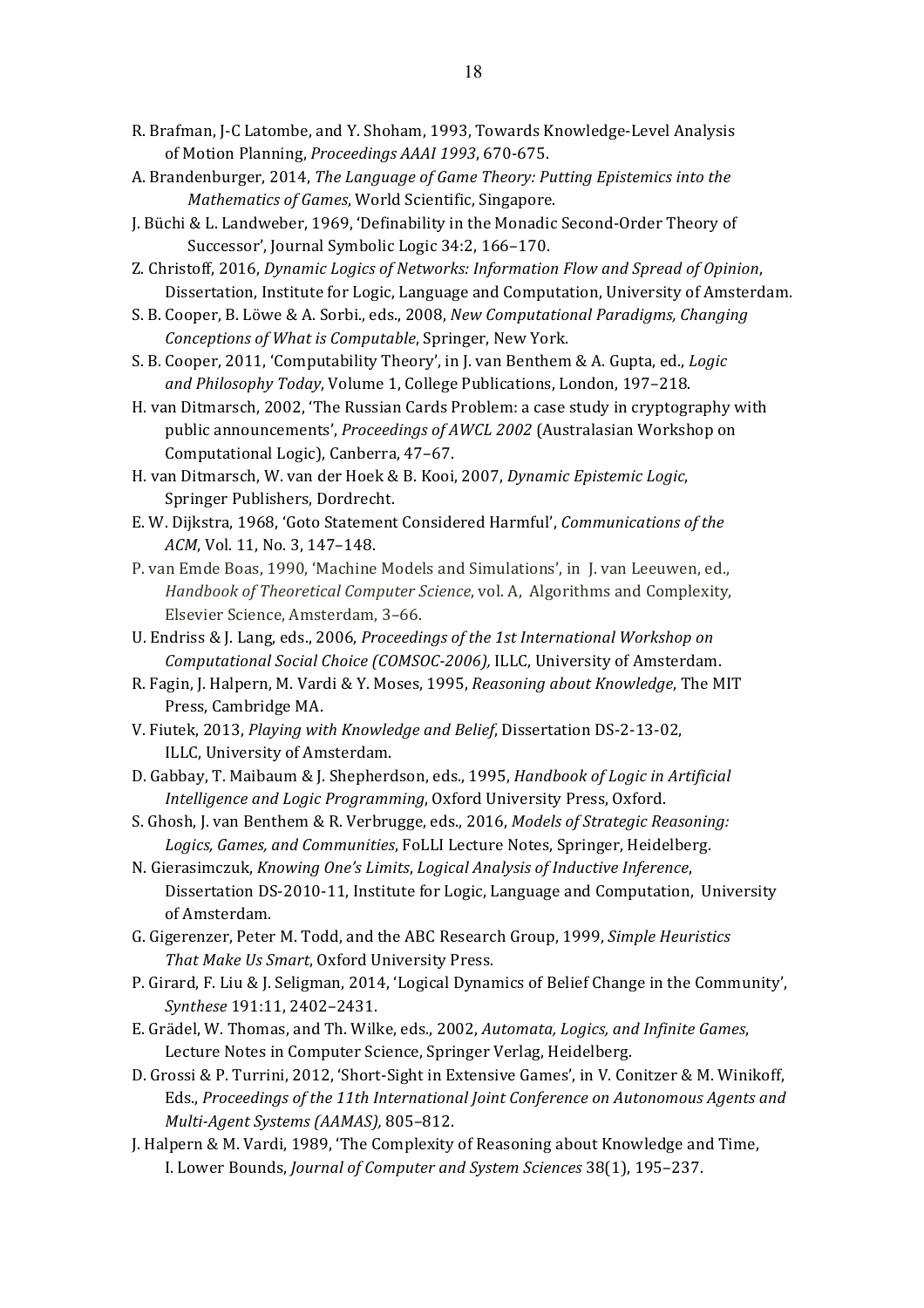- R. Brafman, J-C Latombe, and Y. Shoham, 1993, Towards Knowledge-Level Analysis of Motion Planning, *Proceedings AAAI* 1993, 670-675.
- A. Brandenburger, 2014, *The Language of Game Theory: Putting Epistemics into the Mathematics of Games, World Scientific, Singapore.*
- J. Büchi & L. Landweber, 1969, 'Definability in the Monadic Second-Order Theory of Successor', Journal Symbolic Logic 34:2, 166-170.
- Z. Christoff, 2016, *Dynamic Logics of Networks: Information Flow and Spread of Opinion*, Dissertation, Institute for Logic, Language and Computation, University of Amsterdam.
- S. B. Cooper, B. Löwe & A. Sorbi., eds., 2008, *New Computational Paradigms, Changing Conceptions of What is Computable, Springer, New York.*
- S. B. Cooper, 2011, 'Computability Theory', in J. van Benthem & A. Gupta, ed., *Logic* and Philosophy Today, Volume 1, College Publications, London, 197-218.
- H. van Ditmarsch, 2002, 'The Russian Cards Problem: a case study in cryptography with public announcements', *Proceedings of AWCL 2002* (Australasian Workshop on Computational Logic), Canberra, 47-67.
- H. van Ditmarsch, W. van der Hoek & B. Kooi, 2007, *Dynamic Epistemic Logic*, Springer Publishers, Dordrecht.
- E. W. Dijkstra, 1968, 'Goto Statement Considered Harmful', *Communications of the ACM*, Vol. 11, No. 3, 147-148.
- P. van Emde Boas, 1990, 'Machine Models and Simulations', in J. van Leeuwen, ed., *Handbook of Theoretical Computer Science*, vol. A, Algorithms and Complexity, Elsevier Science, Amsterdam, 3-66.
- U. Endriss & J. Lang, eds., 2006, *Proceedings of the 1st International Workshop on Computational Social Choice (COMSOC-2006), ILLC, University of Amsterdam.*
- R. Fagin, J. Halpern, M. Vardi & Y. Moses, 1995, *Reasoning about Knowledge*, The MIT Press, Cambridge MA.
- V. Fiutek, 2013, *Playing with Knowledge and Belief*, Dissertation DS-2-13-02, ILLC, University of Amsterdam.
- D. Gabbay, T. Maibaum & J. Shepherdson, eds., 1995, *Handbook of Logic in Artificial Intelligence and Logic Programming*, Oxford University Press, Oxford.
- S. Ghosh, J. van Benthem & R. Verbrugge, eds., 2016, *Models of Strategic Reasoning:* Logics, Games, and Communities, FoLLI Lecture Notes, Springer, Heidelberg.
- N. Gierasimczuk, *Knowing One's Limits*, *Logical Analysis of Inductive Inference*, Dissertation DS-2010-11, Institute for Logic, Language and Computation, University of Amsterdam.
- G. Gigerenzer, Peter M. Todd, and the ABC Research Group, 1999, *Simple Heuristics* That Make Us Smart, Oxford University Press.
- P. Girard, F. Liu & J. Seligman, 2014, 'Logical Dynamics of Belief Change in the Community', *Synthese* 191:11, 2402–2431.
- E. Grädel, W. Thomas, and Th. Wilke, eds., 2002, *Automata, Logics, and Infinite Games*, Lecture Notes in Computer Science, Springer Verlag, Heidelberg.
- D. Grossi & P. Turrini, 2012, 'Short-Sight in Extensive Games', in V. Conitzer & M. Winikoff, Eds., Proceedings of the 11th International Joint Conference on Autonomous Agents and *Multi-Agent Systems (AAMAS),* 805–812.
- J. Halpern & M. Vardi, 1989, 'The Complexity of Reasoning about Knowledge and Time, I. Lower Bounds, *Journal of Computer and System Sciences* 38(1), 195-237.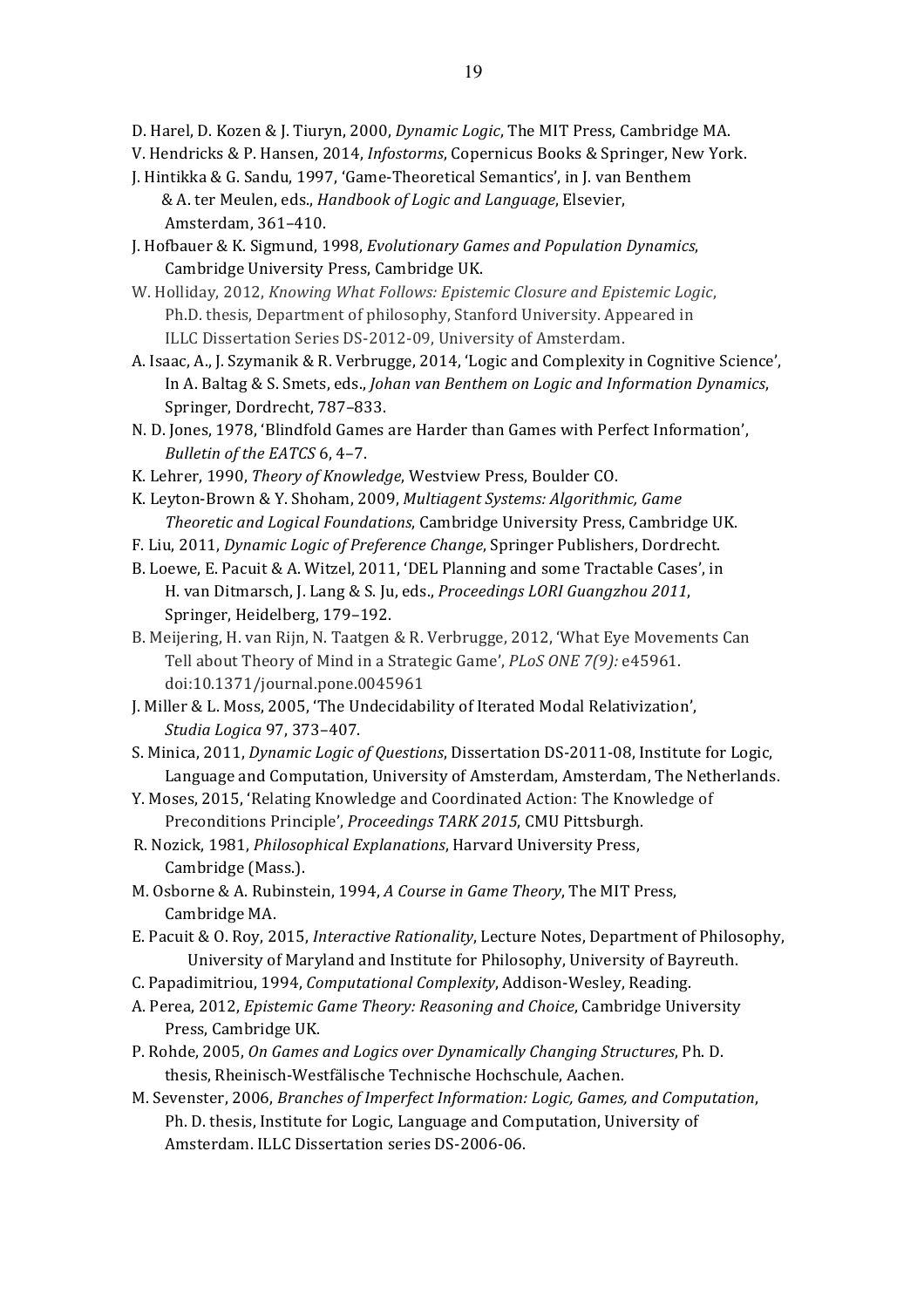- D. Harel, D. Kozen & J. Tiuryn, 2000, *Dynamic Logic*, The MIT Press, Cambridge MA.
- V. Hendricks & P. Hansen, 2014, *Infostorms*, Copernicus Books & Springer, New York.
- J. Hintikka & G. Sandu, 1997, 'Game-Theoretical Semantics', in J. van Benthem & A. ter Meulen, eds., *Handbook of Logic and Language*, Elsevier, Amsterdam, 361–410.
- J. Hofbauer & K. Sigmund, 1998, *Evolutionary Games and Population Dynamics*, Cambridge University Press, Cambridge UK.
- W. Holliday, 2012, *Knowing What Follows: Epistemic Closure and Epistemic Logic*, Ph.D. thesis, Department of philosophy, Stanford University. Appeared in ILLC Dissertation Series DS-2012-09, University of Amsterdam.
- A. Isaac, A., J. Szymanik & R. Verbrugge, 2014, 'Logic and Complexity in Cognitive Science', In A. Baltag & S. Smets, eds., *Johan van Benthem on Logic and Information Dynamics*, Springer, Dordrecht, 787-833.
- N. D. Jones, 1978, 'Blindfold Games are Harder than Games with Perfect Information', *Bulletin of the EATCS* 6, 4-7.
- K. Lehrer, 1990, *Theory of Knowledge*, Westview Press, Boulder CO.
- K. Leyton-Brown & Y. Shoham, 2009, *Multiagent Systems: Algorithmic, Game Theoretic and Logical Foundations*, Cambridge University Press, Cambridge UK.
- F. Liu, 2011, *Dynamic Logic of Preference Change*, Springer Publishers, Dordrecht.
- B. Loewe, E. Pacuit & A. Witzel, 2011, 'DEL Planning and some Tractable Cases', in H. van Ditmarsch, J. Lang & S. Ju, eds., *Proceedings LORI Guangzhou 2011*, Springer, Heidelberg, 179-192.
- B. Meijering, H. van Rijn, N. Taatgen & R. Verbrugge, 2012, 'What Eye Movements Can Tell about Theory of Mind in a Strategic Game', *PLoS ONE* 7(9): e45961. doi:10.1371/journal.pone.0045961
- J. Miller & L. Moss, 2005, 'The Undecidability of Iterated Modal Relativization', *Studia Logica* 97, 373–407.
- S. Minica, 2011, *Dynamic Logic of Questions*, Dissertation DS-2011-08, Institute for Logic, Language and Computation, University of Amsterdam, Amsterdam, The Netherlands.
- Y. Moses, 2015, 'Relating Knowledge and Coordinated Action: The Knowledge of Preconditions Principle', *Proceedings TARK 2015*, CMU Pittsburgh.
- R. Nozick, 1981, *Philosophical Explanations*, Harvard University Press, Cambridge (Mass.).
- M. Osborne & A. Rubinstein, 1994, *A Course in Game Theory*, The MIT Press, Cambridge MA.
- E. Pacuit & O. Roy, 2015, *Interactive Rationality*, Lecture Notes, Department of Philosophy, University of Maryland and Institute for Philosophy, University of Bayreuth.
- C. Papadimitriou, 1994, *Computational Complexity*, Addison-Wesley, Reading.
- A. Perea, 2012, *Epistemic Game Theory: Reasoning and Choice*, Cambridge University Press, Cambridge UK.
- P. Rohde, 2005, *On Games and Logics over Dynamically Changing Structures*, Ph. D. thesis, Rheinisch-Westfälische Technische Hochschule, Aachen.
- M. Sevenster, 2006, *Branches of Imperfect Information: Logic, Games, and Computation*, Ph. D. thesis, Institute for Logic, Language and Computation, University of Amsterdam. ILLC Dissertation series DS-2006-06.